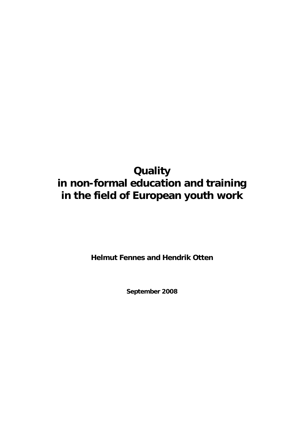# **Quality in non-formal education and training in the field of European youth work**

**Helmut Fennes and Hendrik Otten** 

**September 2008**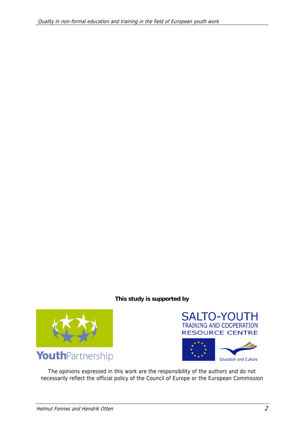### **This study is supported by**







The opinions expressed in this work are the responsibility of the authors and do not necessarily reflect the official policy of the Council of Europe or the European Commission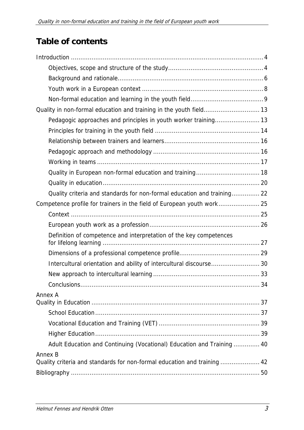# **Table of contents**

| Quality in non-formal education and training in the youth field 13       |
|--------------------------------------------------------------------------|
|                                                                          |
|                                                                          |
|                                                                          |
|                                                                          |
|                                                                          |
|                                                                          |
|                                                                          |
| Quality criteria and standards for non-formal education and training 22  |
| Competence profile for trainers in the field of European youth work 25   |
|                                                                          |
|                                                                          |
| Definition of competence and interpretation of the key competences       |
|                                                                          |
|                                                                          |
| Intercultural orientation and ability of intercultural discourse 30      |
|                                                                          |
|                                                                          |
| Annex A                                                                  |
|                                                                          |
|                                                                          |
|                                                                          |
| Adult Education and Continuing (Vocational) Education and Training  40   |
| Annex B                                                                  |
| Quality criteria and standards for non-formal education and training  42 |
|                                                                          |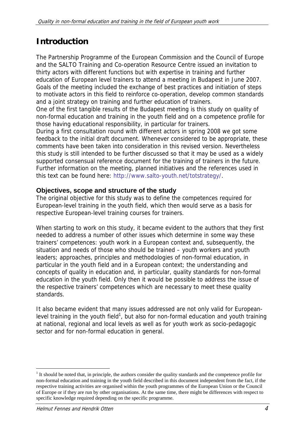## **Introduction**

The Partnership Programme of the European Commission and the Council of Europe and the SALTO Training and Co-operation Resource Centre issued an invitation to thirty actors with different functions but with expertise in training and further education of European level trainers to attend a meeting in Budapest in June 2007. Goals of the meeting included the exchange of best practices and initiation of steps to motivate actors in this field to reinforce co-operation, develop common standards and a joint strategy on training and further education of trainers.

One of the first tangible results of the Budapest meeting is this study on quality of non-formal education and training in the youth field and on a competence profile for those having educational responsibility, in particular for trainers.

During a first consultation round with different actors in spring 2008 we got some feedback to the initial draft document. Whenever considered to be appropriate, these comments have been taken into consideration in this revised version. Nevertheless this study is still intended to be further discussed so that it may be used as a widely supported consensual reference document for the training of trainers in the future. Further information on the meeting, planned initiatives and the references used in this text can be found here: http://www.salto-youth.net/totstrategy/.

## **Objectives, scope and structure of the study**

The original objective for this study was to define the competences required for European-level training in the youth field, which then would serve as a basis for respective European-level training courses for trainers.

When starting to work on this study, it became evident to the authors that they first needed to address a number of other issues which determine in some way these trainers' competences: youth work in a European context and, subsequently, the situation and needs of those who should be trained – youth workers and youth leaders; approaches, principles and methodologies of non-formal education, in particular in the youth field and in a European context; the understanding and concepts of quality in education and, in particular, quality standards for non-formal education in the youth field. Only then it would be possible to address the issue of the respective trainers' competences which are necessary to meet these quality standards.

It also became evident that many issues addressed are not only valid for Europeanlevel training in the youth field<sup>1</sup>, but also for non-formal education and youth training at national, regional and local levels as well as for youth work as socio-pedagogic sector and for non-formal education in general.

-

 $<sup>1</sup>$  It should be noted that, in principle, the authors consider the quality standards and the competence profile for</sup> non-formal education and training in the youth field described in this document independent from the fact, if the respective training activities are organised within the youth programmes of the European Union or the Council of Europe or if they are run by other organisations. At the same time, there might be differences with respect to specific knowledge required depending on the specific programme.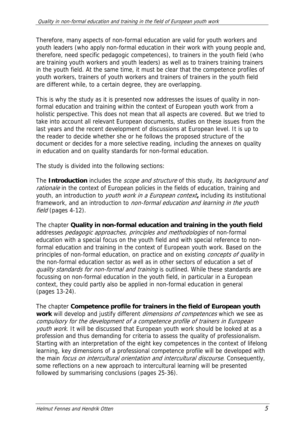Therefore, many aspects of non-formal education are valid for youth workers and youth leaders (who apply non-formal education in their work with young people and, therefore, need specific pedagogic competences), to trainers in the youth field (who are training youth workers and youth leaders) as well as to trainers training trainers in the youth field. At the same time, it must be clear that the competence profiles of youth workers, trainers of youth workers and trainers of trainers in the youth field are different while, to a certain degree, they are overlapping.

This is why the study as it is presented now addresses the issues of quality in nonformal education and training within the context of European youth work from a holistic perspective. This does not mean that all aspects are covered. But we tried to take into account all relevant European documents, studies on these issues from the last years and the recent development of discussions at European level. It is up to the reader to decide whether she or he follows the proposed structure of the document or decides for a more selective reading, including the annexes on quality in education and on quality standards for non-formal education.

The study is divided into the following sections:

The **Introduction** includes the scope and structure of this study, its background and rationale in the context of European policies in the fields of education, training and youth, an introduction to youth work in a European context**,** including its institutional framework, and an introduction to non-formal education and learning in the youth field (pages 4-12).

The chapter **Quality in non-formal education and training in the youth field**  addresses *pedagogic approaches, principles and methodologies* of non-formal education with a special focus on the youth field and with special reference to nonformal education and training in the context of European youth work. Based on the principles of non-formal education, on practice and on existing *concepts of quality* in the non-formal education sector as well as in other sectors of education a set of quality standards for non-formal and training is outlined. While these standards are focussing on non-formal education in the youth field, in particular in a European context, they could partly also be applied in non-formal education in general (pages 13-24).

The chapter **Competence profile for trainers in the field of European youth work** will develop and justify different dimensions of competences which we see as compulsory for the development of a competence profile of trainers in European youth work. It will be discussed that European youth work should be looked at as a profession and thus demanding for criteria to assess the quality of professionalism. Starting with an interpretation of the eight key competences in the context of lifelong learning, key dimensions of a professional competence profile will be developed with the main *focus on intercultural orientation and intercultural discourse*. Consequently, some reflections on a new approach to intercultural learning will be presented followed by summarising conclusions (pages 25-36).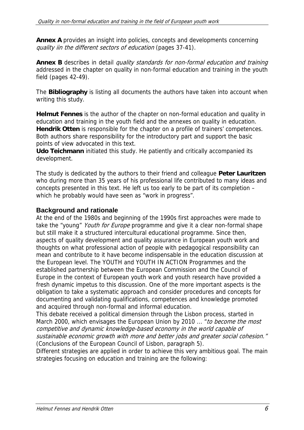**Annex A** provides an insight into policies, concepts and developments concerning quality iin the different sectors of education (pages 37-41).

**Annex B** describes in detail *quality standards for non-formal education and training* addressed in the chapter on quality in non-formal education and training in the youth field (pages 42-49).

The **Bibliography** is listing all documents the authors have taken into account when writing this study.

**Helmut Fennes** is the author of the chapter on non-formal education and quality in education and training in the youth field and the annexes on quality in education. **Hendrik Otten** is responsible for the chapter on a profile of trainers' competences. Both authors share responsibility for the introductory part and support the basic points of view advocated in this text.

**Udo Teichmann** initiated this study. He patiently and critically accompanied its development.

The study is dedicated by the authors to their friend and colleague **Peter Lauritzen** who during more than 35 years of his professional life contributed to many ideas and concepts presented in this text. He left us too early to be part of its completion – which he probably would have seen as "work in progress".

### **Background and rationale**

At the end of the 1980s and beginning of the 1990s first approaches were made to take the "young" Youth for Europe programme and give it a clear non-formal shape but still make it a structured intercultural educational programme. Since then, aspects of quality development and quality assurance in European youth work and thoughts on what professional action of people with pedagogical responsibility can mean and contribute to it have become indispensable in the education discussion at the European level. The YOUTH and YOUTH IN ACTION Programmes and the established partnership between the European Commission and the Council of Europe in the context of European youth work and youth research have provided a fresh dynamic impetus to this discussion. One of the more important aspects is the obligation to take a systematic approach and consider procedures and concepts for documenting and validating qualifications, competences and knowledge promoted and acquired through non-formal and informal education.

This debate received a political dimension through the Lisbon process, started in March 2000, which envisages the European Union by 2010 ... "*to become the most* competitive and dynamic knowledge-based economy in the world capable of sustainable economic growth with more and better jobs and greater social cohesion." (Conclusions of the European Council of Lisbon, paragraph 5).

Different strategies are applied in order to achieve this very ambitious goal. The main strategies focusing on education and training are the following: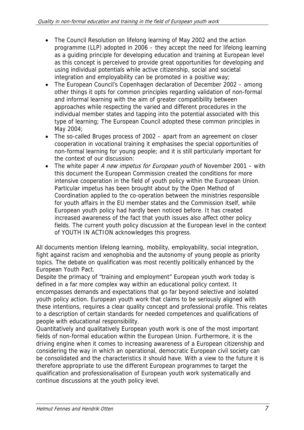- The Council Resolution on lifelong learning of May 2002 and the action programme (LLP) adopted in 2006 – they accept the need for lifelong learning as a guiding principle for developing education and training at European level as this concept is perceived to provide great opportunities for developing and using individual potentials while active citizenship, social and societal integration and employability can be promoted in a positive way;
- The European Council's Copenhagen declaration of December 2002 among other things it opts for common principles regarding validation of non-formal and informal learning with the aim of greater compatibility between approaches while respecting the varied and different procedures in the individual member states and tapping into the potential associated with this type of learning; The European Council adopted these common principles in May 2004;
- The so-called Bruges process of 2002 apart from an agreement on closer cooperation in vocational training it emphasises the special opportunities of non-formal learning for young people; and it is still particularly important for the context of our discussion:
- The white paper A new impetus for European youth of November 2001 with this document the European Commission created the conditions for more intensive cooperation in the field of youth policy within the European Union. Particular impetus has been brought about by the Open Method of Coordination applied to the co-operation between the ministries responsible for youth affairs in the EU member states and the Commission itself, while European youth policy had hardly been noticed before. It has created increased awareness of the fact that youth issues also affect other policy fields. The current youth policy discussion at the European level in the context of YOUTH IN ACTION acknowledges this progress.

All documents mention lifelong learning, mobility, employability, social integration, fight against racism and xenophobia and the autonomy of young people as priority topics. The debate on qualification was most recently politically enhanced by the European Youth Pact.

Despite the primacy of "training and employment" European youth work today is defined in a far more complex way within an educational policy context. It encompasses demands and expectations that go far beyond selective and isolated youth policy action. European youth work that claims to be seriously aligned with these intentions, requires a clear quality concept and professional profile. This relates to a description of certain standards for needed competences and qualifications of people with educational responsibility.

Quantitatively and qualitatively European youth work is one of the most important fields of non-formal education within the European Union. Furthermore, it is the driving engine when it comes to increasing awareness of a European citizenship and considering the way in which an operational, democratic European civil society can be consolidated and the characteristics it should have. With a view to the future it is therefore appropriate to use the different European programmes to target the qualification and professionalisation of European youth work systematically and continue discussions at the youth policy level.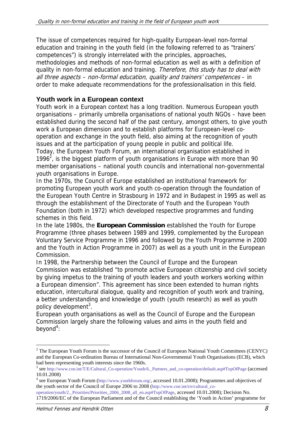The issue of competences required for high-quality European-level non-formal education and training in the youth field (in the following referred to as "trainers' competences") is strongly interrelated with the principles, approaches, methodologies and methods of non-formal education as well as with a definition of quality in non-formal education and training. Therefore, this study has to deal with all three aspects – non-formal education, quality and trainers' competences – in order to make adequate recommendations for the professionalisation in this field.

### **Youth work in a European context**

Youth work in a European context has a long tradition. Numerous European youth organisations – primarily umbrella organisations of national youth NGOs – have been established during the second half of the past century, amongst others, to give youth work a European dimension and to establish platforms for European-level cooperation and exchange in the youth field, also aiming at the recognition of youth issues and at the participation of young people in public and political life. Today, the European Youth Forum, an international organisation established in 1996 $^2$ , is the biggest platform of youth organisations in Europe with more than 90 member organisations – national youth councils and international non-governmental youth organisations in Europe.

In the 1970s, the Council of Europe established an institutional framework for promoting European youth work and youth co-operation through the foundation of the European Youth Centre in Strasbourg in 1972 and in Budapest in 1995 as well as through the establishment of the Directorate of Youth and the European Youth Foundation (both in 1972) which developed respective programmes and funding schemes in this field.

In the late 1980s, the **European Commission** established the Youth for Europe Programme (three phases between 1989 and 1999, complemented by the European Voluntary Service Programme in 1996 and followed by the Youth Programme in 2000 and the Youth in Action Programme in 2007) as well as a youth unit in the European Commission.

In 1998, the Partnership between the Council of Europe and the European Commission was established "to promote active European citizenship and civil society by giving impetus to the training of youth leaders and youth workers working within a European dimension". This agreement has since been extended to human rights education, intercultural dialogue, quality and recognition of youth work and training, a better understanding and knowledge of youth (youth research) as well as youth policy development<sup>3</sup>.

European youth organisations as well as the Council of Europe and the European Commission largely share the following values and aims in the youth field and  $b$ eyond<sup>4</sup>:

<sup>&</sup>lt;sup>2</sup> The European Youth Forum is the successor of the Council of European National Youth Committees (CENYC) and the European Co-ordination Bureau of International Non-Governmental Youth Organisations (ECB), which had been representing youth interests since the 1960s.

<sup>3</sup> see http://www.coe.int/T/E/Cultural\_Co-operation/Youth/6.\_Partners\_and\_co-operation/default.asp#TopOfPage (accessed 10.01.2008)

<sup>&</sup>lt;sup>4</sup> see European Youth Forum (http://www.youthforum.org/, accessed 10.01.2008); Programmes and objectives of the youth sector of the Council of Europe 2006 to 2008 (http://www.coe.int/t/e/cultural\_co-

operation/youth/2.\_Priorities/Priorities\_2006\_2008\_all\_en.asp#TopOfPage, accessed 10.01.2008); Decision No. 1719/2006/EC of the European Parliament and of the Council establishing the 'Youth in Action' programme for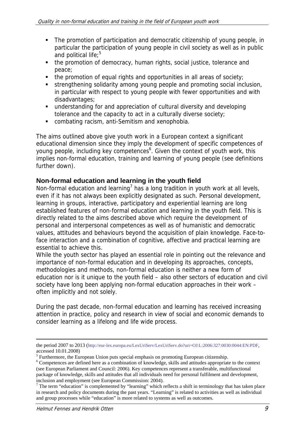- The promotion of participation and democratic citizenship of young people, in particular the participation of young people in civil society as well as in public and political life; $5$
- the promotion of democracy, human rights, social justice, tolerance and peace;
- the promotion of equal rights and opportunities in all areas of society;
- strengthening solidarity among young people and promoting social inclusion, in particular with respect to young people with fewer opportunities and with disadvantages;
- understanding for and appreciation of cultural diversity and developing tolerance and the capacity to act in a culturally diverse society;
- combating racism, anti-Semitism and xenophobia.

The aims outlined above give youth work in a European context a significant educational dimension since they imply the development of specific competences of young people, including key competences<sup>6</sup>. Given the context of youth work, this implies non-formal education, training and learning of young people (see definitions further down).

## **Non-formal education and learning in the youth field**

Non-formal education and learning<sup>7</sup> has a long tradition in youth work at all levels, even if it has not always been explicitly designated as such. Personal development, learning in groups, interactive, participatory and experiential learning are long established features of non-formal education and learning in the youth field. This is directly related to the aims described above which require the development of personal and interpersonal competences as well as of humanistic and democratic values, attitudes and behaviours beyond the acquisition of plain knowledge. Face-toface interaction and a combination of cognitive, affective and practical learning are essential to achieve this.

While the youth sector has played an essential role in pointing out the relevance and importance of non-formal education and in developing its approaches, concepts, methodologies and methods, non-formal education is neither a new form of education nor is it unique to the youth field – also other sectors of education and civil society have long been applying non-formal education approaches in their work – often implicitly and not solely.

During the past decade, non-formal education and learning has received increasing attention in practice, policy and research in view of social and economic demands to consider learning as a lifelong and life wide process.

-

the period 2007 to 2013 (http://eur-lex.europa.eu/LexUriServ/LexUriServ.do?uri=OJ:L:2006:327:0030:0044:EN:PDF, accessed 10.01.2008)

 $<sup>5</sup>$  Furthermore, the European Union puts special emphasis on promoting European citizenship.</sup>

<sup>&</sup>lt;sup>6</sup> Competences are defined here as a combination of knowledge, skills and attitudes appropriate to the context (see European Parliament and Council: 2006). Key competences represent a transferable, multifunctional package of knowledge, skills and attitudes that all individuals need for personal fulfilment and development, inclusion and employment (see European Commission: 2004).

 $<sup>7</sup>$  The term "education" is complemented by "learning" which reflects a shift in terminology that has taken place</sup> in research and policy documents during the past years. "Learning" is related to activities as well as individual and group processes while "education" is more related to systems as well as outcomes.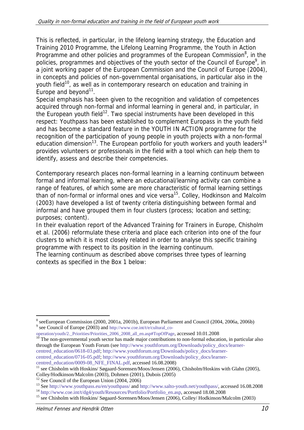This is reflected, in particular, in the lifelong learning strategy, the Education and Training 2010 Programme, the Lifelong Learning Programme, the Youth in Action Programme and other policies and programmes of the European Commission $^8$ , in the policies, programmes and objectives of the youth sector of the Council of Europe<sup>9</sup>, in a joint working paper of the European Commission and the Council of Europe (2004), in concepts and policies of non-governmental organisations, in particular also in the youth field<sup>10</sup>, as well as in contemporary research on education and training in Europe and beyond<sup>11</sup>.

Special emphasis has been given to the recognition and validation of competences acquired through non-formal and informal learning in general and, in particular, in the European youth field<sup>12</sup>. Two special instruments have been developed in this respect: Youthpass has been established to complement Europass in the youth field and has become a standard feature in the YOUTH IN ACTION programme for the recognition of the participation of young people in youth projects with a non-formal education dimension<sup>13</sup>. The European portfolio for youth workers and youth leaders<sup>14</sup> provides volunteers or professionals in the field with a tool which can help them to identify, assess and describe their competencies.

Contemporary research places non-formal learning in a learning continuum between formal and informal learning, where an educational/learning activity can combine a range of features, of which some are more characteristic of formal learning settings than of non-formal or informal ones and vice versa<sup>15</sup>. Colley, Hodkinson and Malcolm (2003) have developed a list of twenty criteria distinguishing between formal and informal and have grouped them in four clusters (process; location and setting; purposes; content).

In their evaluation report of the Advanced Training for Trainers in Europe, Chisholm et al. (2006) reformulate these criteria and place each criterion into one of the four clusters to which it is most closely related in order to analyse this specific training programme with respect to its position in the learning continuum.

The learning continuum as described above comprises three types of learning contexts as specified in the Box 1 below:

<sup>-</sup><sup>8</sup> seeEuropean Commission (2000, 2001a, 2001b), European Parliament and Council (2004, 2006a, 2006b) <sup>9</sup> see Council of Europe (2003) and http://www.coe.int/t/e/cultural\_co-

operation/youth/2.\_Priorities/Priorities\_2006\_2008\_all\_en.asp#TopOfPage, accessed 10.01.2008<br><sup>10</sup> The non-governmental youth sector has made major contributions to non-formal education, in particular also

through the European Youth Forum (see http://www.youthforum.org/Downloads/policy\_docs/learnercentred\_education/0618-03.pdf; http://www.youthforum.org/Downloads/policy\_docs/learnercentred\_education/0716-05.pdf; http://www.youthforum.org/Downloads/policy\_docs/learner-<br>centred\_education/0009-08\_NFE\_FINAL.pdf, accessed 16.08.2008)

see Chisholm with Hoskins/ Søgaard-Sorensen/Moos/Jensen (2006), Chisholm/Hoskins with Glahn (2005),

Colley/Hodkinson/Malcolm (2003), Dohmen (2001), Dubois (2005)

<sup>&</sup>lt;sup>12</sup> See Council of the European Union (2004, 2006)

<sup>&</sup>lt;sup>13</sup> See http://www.youthpass.eu/en/youthpass/ and http://www.salto-youth.net/youthpass/, accessed 16.08.2008<br><sup>14</sup> http://www.coe.int/t/dg4/youth/Resources/Portfolio/Portfolio\_en.asp, accessed 18.08.2008<br><sup>15</sup> see Chisholm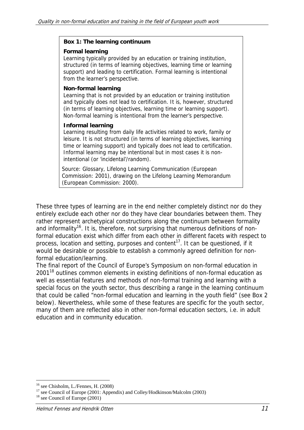#### **Box 1: The learning continuum**

#### **Formal learning**

Learning typically provided by an education or training institution, structured (in terms of learning objectives, learning time or learning support) and leading to certification. Formal learning is intentional from the learner's perspective.

#### **Non-formal learning**

Learning that is not provided by an education or training institution and typically does not lead to certification. It is, however, structured (in terms of learning objectives, learning time or learning support). Non-formal learning is intentional from the learner's perspective.

#### **Informal learning**

Learning resulting from daily life activities related to work, family or leisure. It is not structured (in terms of learning objectives, learning time or learning support) and typically does not lead to certification. Informal learning may be intentional but in most cases it is nonintentional (or 'incidental'/random).

Source: Glossary, Lifelong Learning Communication (European Commission: 2001), drawing on the Lifelong Learning Memorandum (European Commission: 2000).

These three types of learning are in the end neither completely distinct nor do they entirely exclude each other nor do they have clear boundaries between them. They rather represent archetypical constructions along the continuum between formality and informality<sup>16</sup>. It is, therefore, not surprising that numerous definitions of nonformal education exist which differ from each other in different facets with respect to process, location and setting, purposes and content<sup>17</sup>. It can be questioned, if it would be desirable or possible to establish a commonly agreed definition for nonformal education/learning.

The final report of the Council of Europe's Symposium on non-formal education in  $2001<sup>18</sup>$  outlines common elements in existing definitions of non-formal education as well as essential features and methods of non-formal training and learning with a special focus on the youth sector, thus describing a range in the learning continuum that could be called "non-formal education and learning in the youth field" (see Box 2 below). Nevertheless, while some of these features are specific for the youth sector, many of them are reflected also in other non-formal education sectors, i.e. in adult education and in community education.

<sup>-</sup>16 see Chisholm, L./Fennes, H. (2008)

 $17$  see Council of Europe (2001: Appendix) and Colley/Hodkinson/Malcolm (2003)

<sup>&</sup>lt;sup>18</sup> see Council of Europe (2001)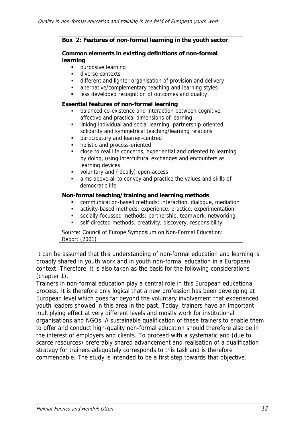| Box 2: Features of non-formal learning in the youth sector                                                                                                                                                                                                                                                                                                                                                                                                                                                                                                                                                                                                                                   |
|----------------------------------------------------------------------------------------------------------------------------------------------------------------------------------------------------------------------------------------------------------------------------------------------------------------------------------------------------------------------------------------------------------------------------------------------------------------------------------------------------------------------------------------------------------------------------------------------------------------------------------------------------------------------------------------------|
|                                                                                                                                                                                                                                                                                                                                                                                                                                                                                                                                                                                                                                                                                              |
| Common elements in existing definitions of non-formal<br>learning<br>purposive learning<br>diverse contexts<br>٠<br>different and lighter organisation of provision and delivery<br>٠<br>alternative/complementary teaching and learning styles<br>$\blacksquare$<br>less developed recognition of outcomes and quality<br>٠                                                                                                                                                                                                                                                                                                                                                                 |
| <b>Essential features of non-formal learning</b><br>balanced co-existence and interaction between cognitive,<br>affective and practical dimensions of learning<br>linking individual and social learning, partnership-oriented<br>٠<br>solidarity and symmetrical teaching/learning relations<br>participatory and learner-centred<br>٠<br>holistic and process-oriented<br>٠<br>close to real life concerns, experiential and oriented to learning<br>٠<br>by doing, using intercultural exchanges and encounters as<br>learning devices<br>voluntary and (ideally) open-access<br>$\blacksquare$<br>aims above all to convey and practice the values and skills of<br>٠<br>democratic life |
| Non-formal teaching/training and learning methods<br>communication-based methods: interaction, dialogue, mediation<br>activity-based methods: experience, practice, experimentation<br>٠<br>socially-focussed methods: partnership, teamwork, networking<br>٠<br>self-directed methods: creativity, discovery, responsibility<br>٠<br>Source: Council of Europe Symposium on Non-Formal Education:                                                                                                                                                                                                                                                                                           |

Report (2001)

It can be assumed that this understanding of non-formal education and learning is broadly shared in youth work and in youth non-formal education in a European context. Therefore, it is also taken as the basis for the following considerations (chapter 1).

Trainers in non-formal education play a central role in this European educational process. It is therefore only logical that a new profession has been developing at European level which goes far beyond the voluntary involvement that experienced youth leaders showed in this area in the past. Today, trainers have an important multiplying effect at very different levels and mostly work for institutional organisations and NGOs. A sustainable qualification of these trainers to enable them to offer and conduct high-quality non-formal education should therefore also be in the interest of employers and clients. To proceed with a systematic and (due to scarce resources) preferably shared advancement and realisation of a qualification strategy for trainers adequately corresponds to this task and is therefore commendable. The study is intended to be a first step towards that objective.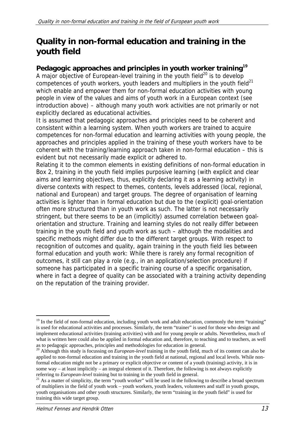## **Quality in non-formal education and training in the youth field**

## **Pedagogic approaches and principles in youth worker training<sup>19</sup>**

A major objective of European-level training in the youth field<sup>20</sup> is to develop competences of youth workers, youth leaders and multipliers in the youth field<sup>21</sup> which enable and empower them for non-formal education activities with young people in view of the values and aims of youth work in a European context (see introduction above) – although many youth work activities are not primarily or not explicitly declared as educational activities.

It is assumed that pedagogic approaches and principles need to be coherent and consistent within a learning system. When youth workers are trained to acquire competences for non-formal education and learning activities with young people, the approaches and principles applied in the training of these youth workers have to be coherent with the training/learning approach taken in non-formal education – this is evident but not necessarily made explicit or adhered to.

Relating it to the common elements in existing definitions of non-formal education in Box 2, training in the youth field implies purposive learning (with explicit and clear aims and learning objectives, thus, explicitly declaring it as a learning activity) in diverse contexts with respect to themes, contents, levels addressed (local, regional, national and European) and target groups. The degree of organisation of learning activities is lighter than in formal education but due to the (explicit) goal-orientation often more structured than in youth work as such. The latter is not necessarily stringent, but there seems to be an (implicitly) assumed correlation between goalorientation and structure. Training and learning styles do not really differ between training in the youth field and youth work as such – although the modalities and specific methods might differ due to the different target groups. With respect to recognition of outcomes and quality, again training in the youth field lies between formal education and youth work: While there is rarely any formal recognition of outcomes, it still can play a role (e.g., in an application/selection procedure) if someone has participated in a specific training course of a specific organisation, where in fact a degree of quality can be associated with a training activity depending on the reputation of the training provider.

<sup>-</sup><sup>19</sup> In the field of non-formal education, including youth work and adult education, commonly the term "training" is used for educational activities and processes. Similarly, the term "trainer" is used for those who design and implement educational activities (training activities) with and for young people or adults. Nevertheless, much of what is written here could also be applied in formal education and, therefore, to teaching and to teachers, as well as to pedagogic approaches, principles and methodologies for education in general.

<sup>&</sup>lt;sup>20</sup> Although this study is focussing on *European-level* training in the youth field, much of its content can also be applied to non-formal education and training in the youth field at national, regional and local levels. While nonformal education might not be a primary or explicit objective or content of a youth (training) activity, it is in some way – at least implicitly – an integral element of it. Therefore, the following is not always explicitly referring to *European-level* training but to training in the youth field in general.

<sup>&</sup>lt;sup>21</sup> As a matter of simplicity, the term "youth worker" will be used in the following to describe a broad spectrum of multipliers in the field of youth work – youth workers, youth leaders, volunteers and staff in youth groups, youth organisations and other youth structures. Similarly, the term "training in the youth field" is used for training this wide target group.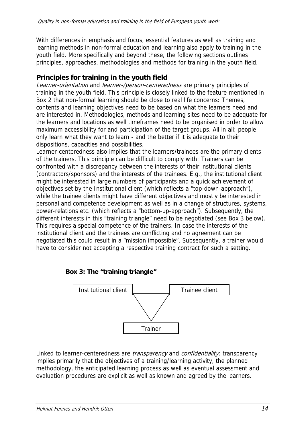With differences in emphasis and focus, essential features as well as training and learning methods in non-formal education and learning also apply to training in the youth field. More specifically and beyond these, the following sections outlines principles, approaches, methodologies and methods for training in the youth field.

## **Principles for training in the youth field**

Learner-orientation and learner-/person-centeredness are primary principles of training in the youth field. This principle is closely linked to the feature mentioned in Box 2 that non-formal learning should be close to real life concerns: Themes, contents and learning objectives need to be based on what the learners need and are interested in. Methodologies, methods and learning sites need to be adequate for the learners and locations as well timeframes need to be organised in order to allow maximum accessibility for and participation of the target groups. All in all: people only learn what they want to learn - and the better if it is adequate to their dispositions, capacities and possibilities.

Learner-centeredness also implies that the learners/trainees are the primary clients of the trainers. This principle can be difficult to comply with: Trainers can be confronted with a discrepancy between the interests of their institutional clients (contractors/sponsors) and the interests of the trainees. E.g., the institutional client might be interested in large numbers of participants and a quick achievement of objectives set by the Institutional client (which reflects a "top-down-approach"), while the trainee clients might have different objectives and mostly be interested in personal and competence development as well as in a change of structures, systems, power-relations etc. (which reflects a "bottom-up-approach"). Subsequently, the different interests in this "training triangle" need to be negotiated (see Box 3 below). This requires a special competence of the trainers. In case the interests of the institutional client and the trainees are conflicting and no agreement can be negotiated this could result in a "mission impossible". Subsequently, a trainer would have to consider not accepting a respective training contract for such a setting.



Linked to learner-centeredness are *transparency* and *confidentiality*: transparency implies primarily that the objectives of a training/learning activity, the planned methodology, the anticipated learning process as well as eventual assessment and evaluation procedures are explicit as well as known and agreed by the learners.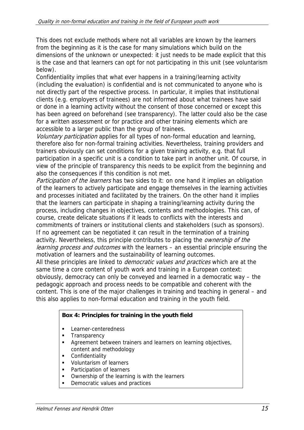This does not exclude methods where not all variables are known by the learners from the beginning as it is the case for many simulations which build on the dimensions of the unknown or unexpected: it just needs to be made explicit that this is the case and that learners can opt for not participating in this unit (see voluntarism below).

Confidentiality implies that what ever happens in a training/learning activity (including the evaluation) is confidential and is not communicated to anyone who is not directly part of the respective process. In particular, it implies that institutional clients (e.g. employers of trainees) are not informed about what trainees have said or done in a learning activity without the consent of those concerned or except this has been agreed on beforehand (see transparency). The latter could also be the case for a written assessment or for practice and other training elements which are accessible to a larger public than the group of trainees.

Voluntary participation applies for all types of non-formal education and learning, therefore also for non-formal training activities. Nevertheless, training providers and trainers obviously can set conditions for a given training activity, e.g. that full participation in a specific unit is a condition to take part in another unit. Of course, in view of the principle of transparency this needs to be explicit from the beginning and also the consequences if this condition is not met.

Participation of the learners has two sides to it: on one hand it implies an obligation of the learners to actively participate and engage themselves in the learning activities and processes initiated and facilitated by the trainers. On the other hand it implies that the learners can participate in shaping a training/learning activity during the process, including changes in objectives, contents and methodologies. This can, of course, create delicate situations if it leads to conflicts with the interests and commitments of trainers or institutional clients and stakeholders (such as sponsors). If no agreement can be negotiated it can result in the termination of a training activity. Nevertheless, this principle contributes to placing the *ownership of the* learning process and outcomes with the learners – an essential principle ensuring the motivation of learners and the sustainability of learning outcomes.

All these principles are linked to *democratic values and practices* which are at the same time a core content of youth work and training in a European context: obviously, democracy can only be conveyed and learned in a democratic way – the pedagogic approach and process needs to be compatible and coherent with the content. This is one of the major challenges in training and teaching in general – and this also applies to non-formal education and training in the youth field.

### **Box 4: Principles for training in the youth field**

- **Learner-centeredness**
- **Transparency**
- **Agreement between trainers and learners on learning objectives,** content and methodology
- **•** Confidentiality
- Voluntarism of learners
- Participation of learners
- **•** Ownership of the learning is with the learners
- Democratic values and practices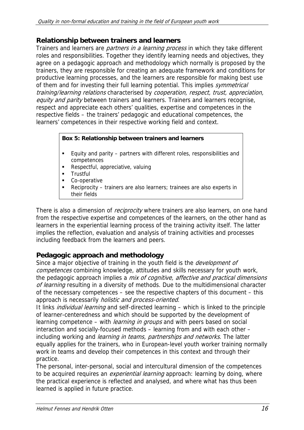### **Relationship between trainers and learners**

Trainers and learners are *partners in a learning process* in which they take different roles and responsibilities. Together they identify learning needs and objectives, they agree on a pedagogic approach and methodology which normally is proposed by the trainers, they are responsible for creating an adequate framework and conditions for productive learning processes, and the learners are responsible for making best use of them and for investing their full learning potential. This implies *symmetrical* training/learning relations characterised by cooperation, respect, trust, appreciation, equity and parity between trainers and learners. Trainers and learners recognise, respect and appreciate each others' qualities, expertise and competences in the respective fields – the trainers' pedagogic and educational competences, the learners' competences in their respective working field and context.

#### **Box 5: Relationship between trainers and learners**

- Equity and parity partners with different roles, responsibilities and competences
- Respectful, appreciative, valuing
- **Trustful**
- Co-operative
- Reciprocity trainers are also learners; trainees are also experts in their fields

There is also a dimension of *reciprocity* where trainers are also learners, on one hand from the respective expertise and competences of the learners, on the other hand as learners in the experiential learning process of the training activity itself. The latter implies the reflection, evaluation and analysis of training activities and processes including feedback from the learners and peers.

## **Pedagogic approach and methodology**

Since a major objective of training in the youth field is the *development of* competences combining knowledge, attitudes and skills necessary for youth work, the pedagogic approach implies a mix of cognitive, affective and practical dimensions of learning resulting in a diversity of methods. Due to the multidimensional character of the necessary competences – see the respective chapters of this document – this approach is necessarily *holistic and process-oriented*.

It links *individual learning* and self-directed learning – which is linked to the principle of learner-centeredness and which should be supported by the development of learning competence – with *learning in groups* and with peers based on social interaction and socially-focused methods – learning from and with each other – including working and *learning in teams, partnerships and networks*. The latter equally applies for the trainers, who in European-level youth worker training normally work in teams and develop their competences in this context and through their practice.

The personal, inter-personal, social and intercultural dimension of the competences to be acquired requires an *experiential learning* approach: learning by doing, where the practical experience is reflected and analysed, and where what has thus been learned is applied in future practice.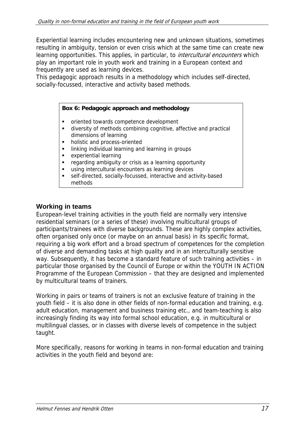Experiential learning includes encountering new and unknown situations, sometimes resulting in ambiguity, tension or even crisis which at the same time can create new learning opportunities. This applies, in particular, to *intercultural encounters* which play an important role in youth work and training in a European context and frequently are used as learning devices.

This pedagogic approach results in a methodology which includes self-directed, socially-focussed, interactive and activity based methods.

#### **Box 6: Pedagogic approach and methodology**

- oriented towards competence development
- diversity of methods combining cognitive, affective and practical dimensions of learning
- holistic and process-oriented
- **EXEDENT III Individual learning and learning in groups**
- **EXPERIENTED EXPERIENT**
- regarding ambiguity or crisis as a learning opportunity
- using intercultural encounters as learning devices
- self-directed, socially-focussed, interactive and activity-based methods

#### **Working in teams**

European-level training activities in the youth field are normally very intensive residential seminars (or a series of these) involving multicultural groups of participants/trainees with diverse backgrounds. These are highly complex activities, often organised only once (or maybe on an annual basis) in its specific format, requiring a big work effort and a broad spectrum of competences for the completion of diverse and demanding tasks at high quality and in an interculturally sensitive way. Subsequently, it has become a standard feature of such training activities – in particular those organised by the Council of Europe or within the YOUTH IN ACTION Programme of the European Commission – that they are designed and implemented by multicultural teams of trainers.

Working in pairs or teams of trainers is not an exclusive feature of training in the youth field – it is also done in other fields of non-formal education and training, e.g. adult education, management and business training etc., and team-teaching is also increasingly finding its way into formal school education, e.g. in multicultural or multilingual classes, or in classes with diverse levels of competence in the subject taught.

More specifically, reasons for working in teams in non-formal education and training activities in the youth field and beyond are: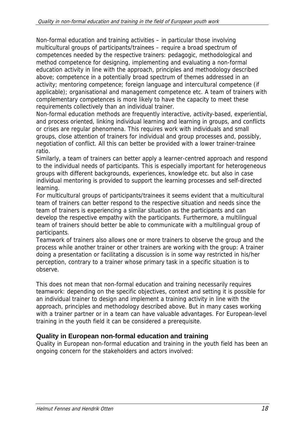Non-formal education and training activities – in particular those involving multicultural groups of participants/trainees – require a broad spectrum of competences needed by the respective trainers: pedagogic, methodological and method competence for designing, implementing and evaluating a non-formal education activity in line with the approach, principles and methodology described above; competence in a potentially broad spectrum of themes addressed in an activity; mentoring competence; foreign language and intercultural competence (if applicable); organisational and management competence etc. A team of trainers with complementary competences is more likely to have the capacity to meet these requirements collectively than an individual trainer.

Non-formal education methods are frequently interactive, activity-based, experiential, and process oriented, linking individual learning and learning in groups, and conflicts or crises are regular phenomena. This requires work with individuals and small groups, close attention of trainers for individual and group processes and, possibly, negotiation of conflict. All this can better be provided with a lower trainer-trainee ratio.

Similarly, a team of trainers can better apply a learner-centred approach and respond to the individual needs of participants. This is especially important for heterogeneous groups with different backgrounds, experiences, knowledge etc. but also in case individual mentoring is provided to support the learning processes and self-directed learning.

For multicultural groups of participants/trainees it seems evident that a multicultural team of trainers can better respond to the respective situation and needs since the team of trainers is experiencing a similar situation as the participants and can develop the respective empathy with the participants. Furthermore, a multilingual team of trainers should better be able to communicate with a multilingual group of participants.

Teamwork of trainers also allows one or more trainers to observe the group and the process while another trainer or other trainers are working with the group: A trainer doing a presentation or facilitating a discussion is in some way restricted in his/her perception, contrary to a trainer whose primary task in a specific situation is to observe.

This does not mean that non-formal education and training necessarily requires teamwork: depending on the specific objectives, context and setting it is possible for an individual trainer to design and implement a training activity in line with the approach, principles and methodology described above. But in many cases working with a trainer partner or in a team can have valuable advantages. For European-level training in the youth field it can be considered a prerequisite.

## **Quality in European non-formal education and training**

Quality in European non-formal education and training in the youth field has been an ongoing concern for the stakeholders and actors involved: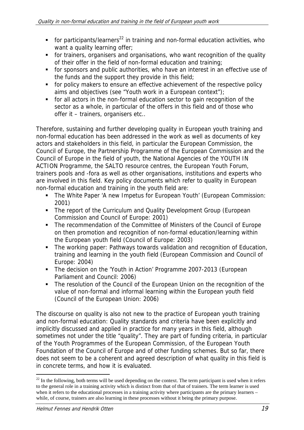- for participants/learners<sup>22</sup> in training and non-formal education activities, who want a quality learning offer;
- for trainers, organisers and organisations, who want recognition of the quality of their offer in the field of non-formal education and training;
- for sponsors and public authorities, who have an interest in an effective use of the funds and the support they provide in this field;
- for policy makers to ensure an effective achievement of the respective policy aims and objectives (see "Youth work in a European context");
- for all actors in the non-formal education sector to gain recognition of the sector as a whole, in particular of the offers in this field and of those who offer it – trainers, organisers etc..

Therefore, sustaining and further developing quality in European youth training and non-formal education has been addressed in the work as well as documents of key actors and stakeholders in this field, in particular the European Commission, the Council of Europe, the Partnership Programme of the European Commission and the Council of Europe in the field of youth, the National Agencies of the YOUTH IN ACTION Programme, the SALTO resource centres, the European Youth Forum, trainers pools and -fora as well as other organisations, institutions and experts who are involved in this field. Key policy documents which refer to quality in European non-formal education and training in the youth field are:

- **The White Paper 'A new Impetus for European Youth' (European Commission:** 2001)
- The report of the Curriculum and Quality Development Group (European Commission and Council of Europe: 2001)
- **The recommendation of the Committee of Ministers of the Council of Europe** on then promotion and recognition of non-formal education/learning within the European youth field (Council of Europe: 2003)
- The working paper: Pathways towards validation and recognition of Education, training and learning in the youth field (European Commission and Council of Europe: 2004)
- The decision on the 'Youth in Action' Programme 2007-2013 (European Parliament and Council: 2006)
- The resolution of the Council of the European Union on the recognition of the value of non-formal and informal learning within the European youth field (Council of the European Union: 2006)

The discourse on quality is also not new to the practice of European youth training and non-formal education: Quality standards and criteria have been explicitly and implicitly discussed and applied in practice for many years in this field, although sometimes not under the title "quality". They are part of funding criteria, in particular of the Youth Programmes of the European Commission, of the European Youth Foundation of the Council of Europe and of other funding schemes. But so far, there does not seem to be a coherent and agreed description of what quality in this field is in concrete terms, and how it is evaluated.

-

 $22$  In the following, both terms will be used depending on the context. The term participant is used when it refers to the general role in a training activity which is distinct from that of that of trainers. The term learner is used when it refers to the educational processes in a training activity where participants are the primary learners – while, of course, trainers are also learning in these processes without it being the primary purpose.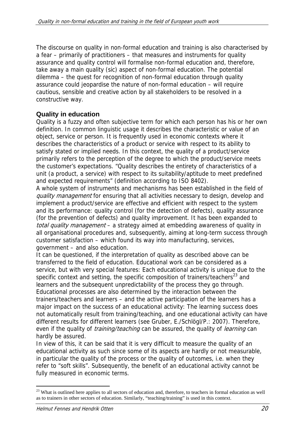The discourse on quality in non-formal education and training is also characterised by a fear – primarily of practitioners – that measures and instruments for quality assurance and quality control will formalise non-formal education and, therefore, take away a main quality (sic) aspect of non-formal education. The potential dilemma – the quest for recognition of non-formal education through quality assurance could jeopardise the nature of non-formal education – will require cautious, sensible and creative action by all stakeholders to be resolved in a constructive way.

## **Quality in education**

Quality is a fuzzy and often subjective term for which each person has his or her own definition. In common linguistic usage it describes the characteristic or value of an object, service or person. It is frequently used in economic contexts where it describes the characteristics of a product or service with respect to its ability to satisfy stated or implied needs. In this context, the quality of a product/service primarily refers to the perception of the degree to which the product/service meets the customer's expectations. "Quality describes the entirety of characteristics of a unit (a product, a service) with respect to its suitability/aptitude to meet predefined and expected requirements" (definition according to ISO 8402).

A whole system of instruments and mechanisms has been established in the field of quality management for ensuring that all activities necessary to design, develop and implement a product/service are effective and efficient with respect to the system and its performance: quality control (for the detection of defects), quality assurance (for the prevention of defects) and quality improvement. It has been expanded to total quality management – a strategy aimed at embedding awareness of quality in all organisational procedures and, subsequently, aiming at long-term success through customer satisfaction – which found its way into manufacturing, services, government – and also education.

It can be questioned, if the interpretation of quality as described above can be transferred to the field of education. Educational work can be considered as a service, but with very special features: Each educational activity is unique due to the specific context and setting, the specific composition of trainers/teachers<sup>23</sup> and learners and the subsequent unpredictability of the process they go through. Educational processes are also determined by the interaction between the trainers/teachers and learners – and the active participation of the learners has a major impact on the success of an educational activity: The learning success does not automatically result from training/teaching, and one educational activity can have different results for different learners (see Gruber, E./Schlögl/P.: 2007). Therefore, even if the quality of *training/teaching* can be assured, the quality of *learning* can hardly be assured.

In view of this, it can be said that it is very difficult to measure the quality of an educational activity as such since some of its aspects are hardly or not measurable, in particular the quality of the process or the quality of outcomes, i.e. when they refer to "soft skills". Subsequently, the benefit of an educational activity cannot be fully measured in economic terms.

-

<sup>&</sup>lt;sup>23</sup> What is outlined here applies to all sectors of education and, therefore, to teachers in formal education as well as to trainers in other sectors of education. Similarly, "teaching/training" is used in this context.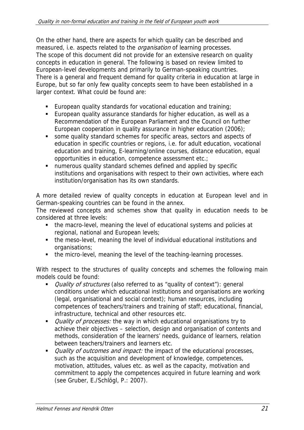On the other hand, there are aspects for which quality can be described and measured, i.e. aspects related to the *organisation* of learning processes. The scope of this document did not provide for an extensive research on quality concepts in education in general. The following is based on review limited to European-level developments and primarily to German-speaking countries. There is a general and frequent demand for quality criteria in education at large in Europe, but so far only few quality concepts seem to have been established in a larger context. What could be found are:

- European quality standards for vocational education and training;
- European quality assurance standards for higher education, as well as a Recommendation of the European Parliament and the Council on further European cooperation in quality assurance in higher education (2006);
- some quality standard schemes for specific areas, sectors and aspects of education in specific countries or regions, i.e. for adult education, vocational education and training, E-learning/online courses, distance education, equal opportunities in education, competence assessment etc.;
- numerous quality standard schemes defined and applied by specific institutions and organisations with respect to their own activities, where each institution/organisation has its own standards.

A more detailed review of quality concepts in education at European level and in German-speaking countries can be found in the annex.

The reviewed concepts and schemes show that quality in education needs to be considered at three levels:

- the macro-level, meaning the level of educational systems and policies at regional, national and European levels;
- the meso-level, meaning the level of individual educational institutions and organisations;
- the micro-level, meaning the level of the teaching-learning processes.

With respect to the structures of quality concepts and schemes the following main models could be found:

- Quality of structures (also referred to as "quality of context"): general conditions under which educational institutions and organisations are working (legal, organisational and social context); human resources, including competences of teachers/trainers and training of staff; educational, financial, infrastructure, technical and other resources etc.
- *Quality of processes:* the way in which educational organisations try to achieve their objectives – selection, design and organisation of contents and methods, consideration of the learners' needs, guidance of learners, relation between teachers/trainers and learners etc.
- *Quality of outcomes and impact:* the impact of the educational processes, such as the acquisition and development of knowledge, competences, motivation, attitudes, values etc. as well as the capacity, motivation and commitment to apply the competences acquired in future learning and work (see Gruber, E./Schlögl, P.: 2007).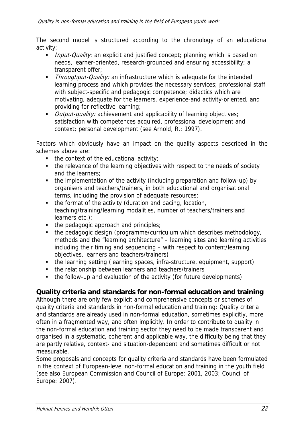The second model is structured according to the chronology of an educational activity:

- Input-Quality: an explicit and justified concept; planning which is based on needs, learner-oriented, research-grounded and ensuring accessibility; a transparent offer;
- **Throughput-Quality:** an infrastructure which is adequate for the intended learning process and which provides the necessary services; professional staff with subject-specific and pedagogic competence; didactics which are motivating, adequate for the learners, experience-and activity-oriented, and providing for reflective learning;
- Output-quality: achievement and applicability of learning objectives; satisfaction with competences acquired, professional development and context; personal development (see Arnold, R.: 1997).

Factors which obviously have an impact on the quality aspects described in the schemes above are:

- $\blacksquare$  the context of the educational activity;
- the relevance of the learning objectives with respect to the needs of society and the learners;
- the implementation of the activity (including preparation and follow-up) by organisers and teachers/trainers, in both educational and organisational terms, including the provision of adequate resources;
- the format of the activity (duration and pacing, location, teaching/training/learning modalities, number of teachers/trainers and learners etc.);
- $\blacksquare$  the pedagogic approach and principles;
- the pedagogic design (programme/curriculum which describes methodology, methods and the "learning architecture" – learning sites and learning activities including their timing and sequencing – with respect to content/learning objectives, learners and teachers/trainers)
- the learning setting (learning spaces, infra-structure, equipment, support)
- the relationship between learners and teachers/trainers
- the follow-up and evaluation of the activity (for future developments)

### **Quality criteria and standards for non-formal education and training**

Although there are only few explicit and comprehensive concepts or schemes of quality criteria and standards in non-formal education and training: Quality criteria and standards are already used in non-formal education, sometimes explicitly, more often in a fragmented way, and often implicitly. In order to contribute to quality in the non-formal education and training sector they need to be made transparent and organised in a systematic, coherent and applicable way, the difficulty being that they are partly relative, context- and situation-dependent and sometimes difficult or not measurable.

Some proposals and concepts for quality criteria and standards have been formulated in the context of European-level non-formal education and training in the youth field (see also European Commission and Council of Europe: 2001, 2003; Council of Europe: 2007).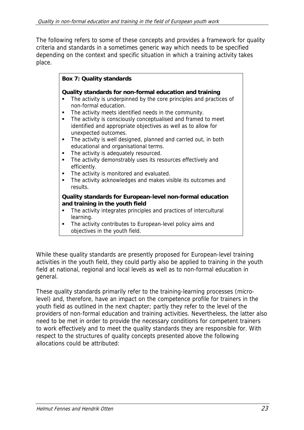The following refers to some of these concepts and provides a framework for quality criteria and standards in a sometimes generic way which needs to be specified depending on the context and specific situation in which a training activity takes place.

|               | <b>Box 7: Quality standards</b>                                                                                                                                                                                                                                                                                                                                            |
|---------------|----------------------------------------------------------------------------------------------------------------------------------------------------------------------------------------------------------------------------------------------------------------------------------------------------------------------------------------------------------------------------|
| ٠<br>٠        | Quality standards for non-formal education and training<br>The activity is underpinned by the core principles and practices of<br>non-formal education.<br>The activity meets identified needs in the community.<br>The activity is consciously conceptualised and framed to meet<br>identified and appropriate objectives as well as to allow for<br>unexpected outcomes. |
| ٠<br>٠        | The activity is well designed, planned and carried out, in both<br>educational and organisational terms.<br>The activity is adequately resourced.<br>The activity demonstrably uses its resources effectively and<br>efficiently.                                                                                                                                          |
| ٠<br>results. | The activity is monitored and evaluated.<br>The activity acknowledges and makes visible its outcomes and                                                                                                                                                                                                                                                                   |
| learning.     | Quality standards for European-level non-formal education<br>and training in the youth field<br>The activity integrates principles and practices of intercultural                                                                                                                                                                                                          |

 The activity contributes to European-level policy aims and objectives in the youth field.

While these quality standards are presently proposed for European-level training activities in the youth field, they could partly also be applied to training in the youth field at national, regional and local levels as well as to non-formal education in general.

These quality standards primarily refer to the training-learning processes (microlevel) and, therefore, have an impact on the competence profile for trainers in the youth field as outlined in the next chapter; partly they refer to the level of the providers of non-formal education and training activities. Nevertheless, the latter also need to be met in order to provide the necessary conditions for competent trainers to work effectively and to meet the quality standards they are responsible for. With respect to the structures of quality concepts presented above the following allocations could be attributed: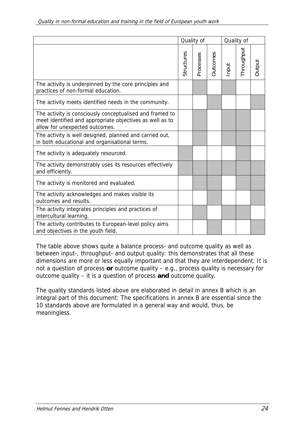|                                                                                                                                                        | Quality of |           |                 | Quality of |            |        |
|--------------------------------------------------------------------------------------------------------------------------------------------------------|------------|-----------|-----------------|------------|------------|--------|
|                                                                                                                                                        | Structures | Processes | <b>Outcomes</b> | nput       | Throughput | Output |
| The activity is underpinned by the core principles and<br>practices of non-formal education.                                                           |            |           |                 |            |            |        |
| The activity meets identified needs in the community.                                                                                                  |            |           |                 |            |            |        |
| The activity is consciously conceptualised and framed to<br>meet identified and appropriate objectives as well as to<br>allow for unexpected outcomes. |            |           |                 |            |            |        |
| The activity is well designed, planned and carried out,<br>in both educational and organisational terms.                                               |            |           |                 |            |            |        |
| The activity is adequately resourced.                                                                                                                  |            |           |                 |            |            |        |
| The activity demonstrably uses its resources effectively<br>and efficiently.                                                                           |            |           |                 |            |            |        |
| The activity is monitored and evaluated.                                                                                                               |            |           |                 |            |            |        |
| The activity acknowledges and makes visible its<br>outcomes and results.                                                                               |            |           |                 |            |            |        |
| The activity integrates principles and practices of<br>intercultural learning.                                                                         |            |           |                 |            |            |        |
| The activity contributes to European-level policy aims<br>and objectives in the youth field.                                                           |            |           |                 |            |            |        |

The table above shows quite a balance process- and outcome quality as well as between input-, throughput- and output quality: this demonstrates that all these dimensions are more or less equally important and that they are interdependent. It is not a question of process **or** outcome quality – e.g., process quality is necessary for outcome quality – it is a question of process **and** outcome quality.

The quality standards listed above are elaborated in detail in annex B which is an integral part of this document: The specifications in annex B are essential since the 10 standards above are formulated in a general way and would, thus, be meaningless.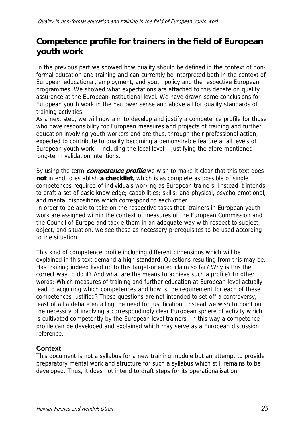## **Competence profile for trainers in the field of European youth work**

In the previous part we showed how quality should be defined in the context of nonformal education and training and can currently be interpreted both in the context of European educational, employment, and youth policy and the respective European programmes. We showed what expectations are attached to this debate on quality assurance at the European institutional level. We have drawn some conclusions for European youth work in the narrower sense and above all for quality standards of training activities.

As a next step, we will now aim to develop and justify a competence profile for those who have responsibility for European measures and projects of training and further education involving youth workers and are thus, through their professional action, expected to contribute to quality becoming a demonstrable feature at all levels of European youth work – including the local level – justifying the afore mentioned long-term validation intentions.

By using the term **competence profile** we wish to make it clear that this text does **not** intend to establish **a checklist**, which is as complete as possible of single competences required of individuals working as European trainers. Instead it intends to draft a set of basic knowledge; capabilities; skills; and physical, psycho-emotional, and mental dispositions which correspond to each other.

In order to be able to take on the respective tasks that trainers in European youth work are assigned within the context of measures of the European Commission and the Council of Europe and tackle them in an adequate way with respect to subject, object, and situation, we see these as necessary prerequisites to be used according to the situation.

This kind of competence profile including different dimensions which will be explained in this text demand a high standard. Questions resulting from this may be: Has training indeed lived up to this target-oriented claim so far? Why is this the correct way to do it? And what are the means to achieve such a profile? In other words: Which measures of training and further education at European level actually lead to acquiring which competences and how is the requirement for each of these competences justified? These questions are not intended to set off a controversy, least of all a debate entailing the need for justification. Instead we wish to point out the necessity of involving a correspondingly clear European sphere of activity which is cultivated competently by the European level trainers. In this way a competence profile can be developed and explained which may serve as a European discussion reference.

## **Context**

This document is not a syllabus for a new training module but an attempt to provide preparatory mental work and structure for such a syllabus which still remains to be developed. Thus, it does not intend to draft steps for its operationalisation.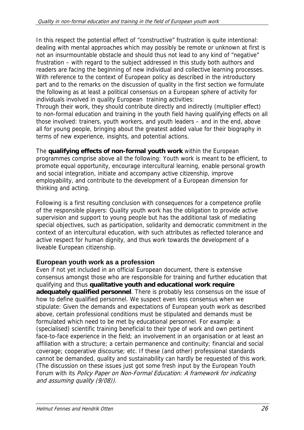In this respect the potential effect of "constructive" frustration is quite intentional: dealing with mental approaches which may possibly be remote or unknown at first is not an insurmountable obstacle and should thus not lead to any kind of "negative" frustration – with regard to the subject addressed in this study both authors and readers are facing the beginning of new individual and collective learning processes. With reference to the context of European policy as described in the introductory part and to the remarks on the discussion of quality in the first section we formulate the following as at least a political consensus on a European sphere of activity for individuals involved in quality European training activities:

Through their work, they should contribute directly and indirectly (multiplier effect) to non-formal education and training in the youth field having qualifying effects on all those involved: trainers, youth workers, and youth leaders – and in the end, above all for young people, bringing about the greatest added value for their biography in terms of new experience, insights, and potential actions.

The **qualifying effects of non-formal youth work** within the European programmes comprise above all the following: Youth work is meant to be efficient, to promote equal opportunity, encourage intercultural learning, enable personal growth and social integration, initiate and accompany active citizenship, improve employability, and contribute to the development of a European dimension for thinking and acting.

Following is a first resulting conclusion with consequences for a competence profile of the responsible players: Quality youth work has the obligation to provide active supervision and support to young people but has the additional task of mediating special objectives, such as participation, solidarity and democratic commitment in the context of an intercultural education, with such attributes as reflected tolerance and active respect for human dignity, and thus work towards the development of a liveable European citizenship.

## **European youth work as a profession**

Even if not yet included in an official European document, there is extensive consensus amongst those who are responsible for training and further education that qualifying and thus **qualitative youth and educational work require adequately qualified personnel**. There is probably less consensus on the issue of how to define qualified personnel. We suspect even less consensus when we stipulate: Given the demands and expectations of European youth work as described above, certain professional conditions must be stipulated and demands must be formulated which need to be met by educational personnel. For example: a (specialised) scientific training beneficial to their type of work and own pertinent face-to-face experience in the field; an involvement in an organisation or at least an affiliation with a structure; a certain permanence and continuity; financial and social coverage; cooperative discourse; etc. If these (and other) professional standards cannot be demanded, quality and sustainability can hardly be requested of this work. (The discussion on these issues just got some fresh input by the European Youth Forum with its Policy Paper on Non-Formal Education: A framework for indicating and assuming quality (9/08)).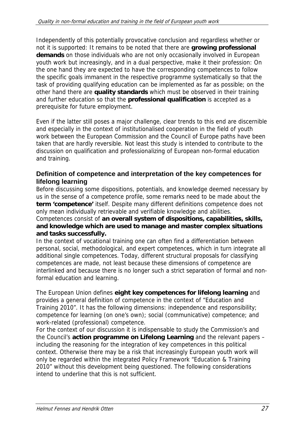Independently of this potentially provocative conclusion and regardless whether or not it is supported: It remains to be noted that there are **growing professional demands** on those individuals who are not only occasionally involved in European youth work but increasingly, and in a dual perspective, make it their profession: On the one hand they are expected to have the corresponding competences to follow the specific goals immanent in the respective programme systematically so that the task of providing qualifying education can be implemented as far as possible; on the other hand there are **quality standards** which must be observed in their training and further education so that the **professional qualification** is accepted as a prerequisite for future employment.

Even if the latter still poses a major challenge, clear trends to this end are discernible and especially in the context of institutionalised cooperation in the field of youth work between the European Commission and the Council of Europe paths have been taken that are hardly reversible. Not least this study is intended to contribute to the discussion on qualification and professionalizing of European non-formal education and training.

### **Definition of competence and interpretation of the key competences for lifelong learning**

Before discussing some dispositions, potentials, and knowledge deemed necessary by us in the sense of a competence profile, some remarks need to be made about the **term 'competence'** itself. Despite many different definitions competence does not only mean individually retrievable and verifiable knowledge and abilities.

Competences consist of **an overall system of dispositions, capabilities, skills, and knowledge which are used to manage and master complex situations and tasks successfully.** 

In the context of vocational training one can often find a differentiation between personal, social, methodological, and expert competences, which in turn integrate all additional single competences. Today, different structural proposals for classifying competences are made, not least because these dimensions of competence are interlinked and because there is no longer such a strict separation of formal and nonformal education and learning.

The European Union defines **eight key competences for lifelong learning** and provides a general definition of competence in the context of "Education and Training 2010". It has the following dimensions: independence and responsibility; competence for learning (on one's own); social (communicative) competence; and work-related (professional) competence.

For the context of our discussion it is indispensable to study the Commission's and the Council's **action programme on Lifelong Learning** and the relevant papers – including the reasoning for the integration of key competences in this political context. Otherwise there may be a risk that increasingly European youth work will only be regarded within the integrated Policy Framework "Education & Training 2010" without this development being questioned. The following considerations intend to underline that this is not sufficient.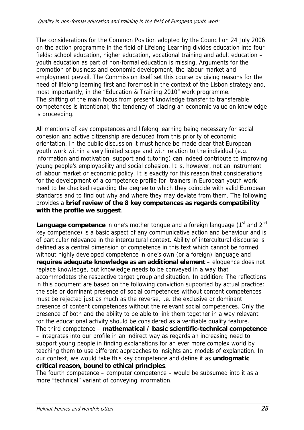The considerations for the Common Position adopted by the Council on 24 July 2006 on the action programme in the field of Lifelong Learning divides education into four fields: school education, higher education, vocational training and adult education – youth education as part of non-formal education is missing. Arguments for the promotion of business and economic development, the labour market and employment prevail. The Commission itself set this course by giving reasons for the need of lifelong learning first and foremost in the context of the Lisbon strategy and, most importantly, in the "Education & Training 2010" work programme. The shifting of the main focus from present knowledge transfer to transferable competences is intentional; the tendency of placing an economic value on knowledge is proceeding.

All mentions of key competences and lifelong learning being necessary for social cohesion and active citizenship are deduced from this priority of economic orientation. In the public discussion it must hence be made clear that European youth work within a very limited scope and with relation to the individual (e.g. information and motivation, support and tutoring) can indeed contribute to improving young people's employability and social cohesion. It is, however, not an instrument of labour market or economic policy. It is exactly for this reason that considerations for the development of a competence profile for trainers in European youth work need to be checked regarding the degree to which they coincide with valid European standards and to find out why and where they may deviate from them. The following provides a **brief review of the 8 key competences as regards compatibility with the profile we suggest**.

**Language competence** in one's mother tongue and a foreign language (1<sup>st</sup> and 2<sup>nd</sup> key competence) is a basic aspect of any communicative action and behaviour and is of particular relevance in the intercultural context. Ability of intercultural discourse is defined as a central dimension of competence in this text which cannot be formed without highly developed competence in one's own (or a foreign) language and **requires adequate knowledge as an additional element** – eloquence does not replace knowledge, but knowledge needs to be conveyed in a way that accommodates the respective target group and situation. In addition: The reflections in this document are based on the following conviction supported by actual practice: the sole or dominant presence of social competences without content competences must be rejected just as much as the reverse, i.e. the exclusive or dominant presence of content competences without the relevant social competences. Only the presence of both and the ability to be able to link them together in a way relevant for the educational activity should be considered as a verifiable quality feature. The third competence – **mathematical / basic scientific-technical competence** – integrates into our profile in an indirect way as regards an increasing need to support young people in finding explanations for an ever more complex world by teaching them to use different approaches to insights and models of explanation. In our context, we would take this key competence and define it as **undogmatic critical reason, bound to ethical principles**.

The fourth competence – computer competence – would be subsumed into it as a more "technical" variant of conveying information.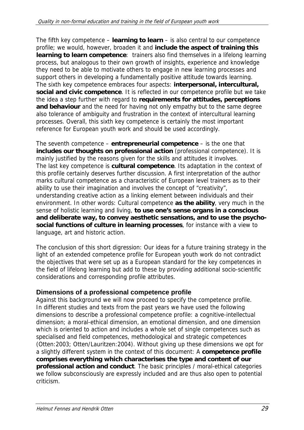The fifth key competence – **learning to learn** – is also central to our competence profile; we would, however, broaden it and **include the aspect of training this learning to learn competence**: trainers also find themselves in a lifelong learning process, but analogous to their own growth of insights, experience and knowledge they need to be able to motivate others to engage in new learning processes and support others in developing a fundamentally positive attitude towards learning. The sixth key competence embraces four aspects: **interpersonal, intercultural, social and civic competence**. It is reflected in our competence profile but we take the idea a step further with regard to **requirements for attitudes, perceptions and behaviour** and the need for having not only empathy but to the same degree also tolerance of ambiguity and frustration in the context of intercultural learning processes. Overall, this sixth key competence is certainly the most important reference for European youth work and should be used accordingly.

The seventh competence – **entrepreneurial competence** – is the one that **includes our thoughts on professional action** (professional competence). It is mainly justified by the reasons given for the skills and attitudes it involves. The last key competence is **cultural competence**. Its adaptation in the context of this profile certainly deserves further discussion. A first interpretation of the author marks cultural competence as a characteristic of European level trainers as to their ability to use their imagination and involves the concept of "creativity", understanding creative action as a linking element between individuals and their environment. In other words: Cultural competence **as the ability**, very much in the sense of holistic learning and living, **to use one's sense organs in a conscious and deliberate way, to convey aesthetic sensations, and to use the psychosocial functions of culture in learning processes**, for instance with a view to language, art and historic action.

The conclusion of this short digression: Our ideas for a future training strategy in the light of an extended competence profile for European youth work do not contradict the objectives that were set up as a European standard for the key competences in the field of lifelong learning but add to these by providing additional socio-scientific considerations and corresponding profile attributes.

## **Dimensions of a professional competence profile**

Against this background we will now proceed to specify the competence profile. In different studies and texts from the past years we have used the following dimensions to describe a professional competence profile: a cognitive-intellectual dimension; a moral-ethical dimension, an emotional dimension, and one dimension which is oriented to action and includes a whole set of single competences such as specialised and field competences, methodological and strategic competences (Otten:2003; Otten/Lauritzen:2004). Without giving up these dimensions we opt for a slightly different system in the context of this document: A **competence profile comprises everything which characterises the type and content of our professional action and conduct**. The basic principles / moral-ethical categories we follow subconsciously are expressly included and are thus also open to potential criticism.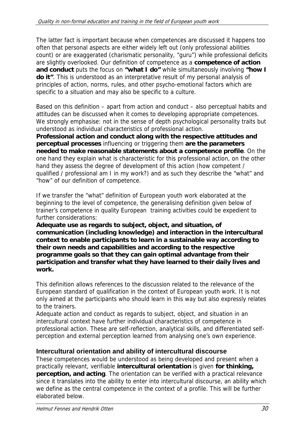The latter fact is important because when competences are discussed it happens too often that personal aspects are either widely left out (only professional abilities count) or are exaggerated (charismatic personality, "guru") while professional deficits are slightly overlooked. Our definition of competence as a **competence of action and conduct** puts the focus on **"what I do"** while simultaneously involving **"how I do it"**. This is understood as an interpretative result of my personal analysis of principles of action, norms, rules, and other psycho-emotional factors which are specific to a situation and may also be specific to a culture.

Based on this definition – apart from action and conduct – also perceptual habits and attitudes can be discussed when it comes to developing appropriate competences. We strongly emphasise: not in the sense of depth psychological personality traits but understood as individual characteristics of professional action.

**Professional action and conduct along with the respective attitudes and perceptual processes** influencing or triggering them **are the parameters needed to make reasonable statements about a competence profile**. On the one hand they explain what is characteristic for this professional action, on the other hand they assess the degree of development of this action (how competent / qualified / professional am I in my work?) and as such they describe the "what" and "how" of our definition of competence.

If we transfer the "what" definition of European youth work elaborated at the beginning to the level of competence, the generalising definition given below of trainer's competence in quality European training activities could be expedient to further considerations:

**Adequate use as regards to subject, object, and situation, of communication (including knowledge) and interaction in the intercultural context to enable participants to learn in a sustainable way according to their own needs and capabilities and according to the respective programme goals so that they can gain optimal advantage from their participation and transfer what they have learned to their daily lives and work.** 

This definition allows references to the discussion related to the relevance of the European standard of qualification in the context of European youth work. It is not only aimed at the participants who should learn in this way but also expressly relates to the trainers.

Adequate action and conduct as regards to subject, object, and situation in an intercultural context have further individual characteristics of competence in professional action. These are self-reflection, analytical skills, and differentiated selfperception and external perception learned from analysing one's own experience.

## **Intercultural orientation and ability of intercultural discourse**

These competences would be understood as being developed and present when a practically relevant, verifiable **intercultural orientation** is given **for thinking, perception, and acting**. The orientation can be verified with a practical relevance since it translates into the ability to enter into intercultural discourse, an ability which we define as the central competence in the context of a profile. This will be further elaborated below.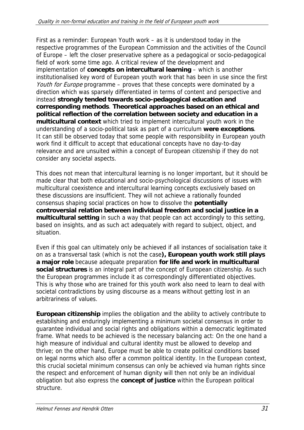First as a reminder: European Youth work – as it is understood today in the respective programmes of the European Commission and the activities of the Council of Europe – left the closer preservative sphere as a pedagogical or socio-pedagogical field of work some time ago. A critical review of the development and implementation of **concepts on intercultural learning** – which is another institutionalised key word of European youth work that has been in use since the first Youth for Europe programme – proves that these concepts were dominated by a direction which was sparsely differentiated in terms of content and perspective and instead **strongly tended towards socio-pedagogical education and corresponding methods**. **Theoretical approaches based on an ethical and political reflection of the correlation between society and education in a multicultural context** which tried to implement intercultural youth work in the understanding of a socio-political task as part of a curriculum **were exceptions**. It can still be observed today that some people with responsibility in European youth work find it difficult to accept that educational concepts have no day-to-day relevance and are unsuited within a concept of European citizenship if they do not consider any societal aspects.

This does not mean that intercultural learning is no longer important, but it should be made clear that both educational and socio-psychological discussions of issues with multicultural coexistence and intercultural learning concepts exclusively based on these discussions are insufficient. They will not achieve a rationally founded consensus shaping social practices on how to dissolve the **potentially controversial relation between individual freedom and social justice in a multicultural setting** in such a way that people can act accordingly to this setting, based on insights, and as such act adequately with regard to subject, object, and situation.

Even if this goal can ultimately only be achieved if all instances of socialisation take it on as a transversal task (which is not the case**), European youth work still plays a major role** because adequate preparation **for life and work in multicultural social structures** is an integral part of the concept of European citizenship. As such the European programmes include it as correspondingly differentiated objectives. This is why those who are trained for this youth work also need to learn to deal with societal contradictions by using discourse as a means without getting lost in an arbitrariness of values.

**European citizenship** implies the obligation and the ability to actively contribute to establishing and enduringly implementing a minimum societal consensus in order to guarantee individual and social rights and obligations within a democratic legitimated frame. What needs to be achieved is the necessary balancing act: On the one hand a high measure of individual and cultural identity must be allowed to develop and thrive; on the other hand, Europe must be able to create political conditions based on legal norms which also offer a common political identity. In the European context, this crucial societal minimum consensus can only be achieved via human rights since the respect and enforcement of human dignity will then not only be an individual obligation but also express the **concept of justice** within the European political structure.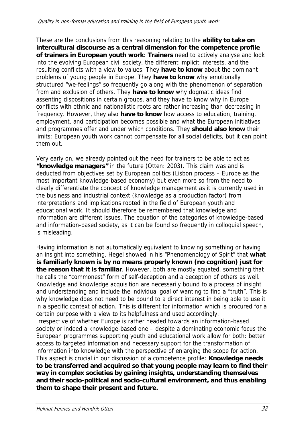These are the conclusions from this reasoning relating to the **ability to take on intercultural discourse as a central dimension for the competence profile of trainers in European youth work**: **Trainers** need to actively analyse and look into the evolving European civil society, the different implicit interests, and the resulting conflicts with a view to values. They **have to know** about the dominant problems of young people in Europe. They **have to know** why emotionally structured "we-feelings" so frequently go along with the phenomenon of separation from and exclusion of others. They **have to know** why dogmatic ideas find assenting dispositions in certain groups, and they have to know why in Europe conflicts with ethnic and nationalistic roots are rather increasing than decreasing in frequency. However, they also **have to know** how access to education, training, employment, and participation becomes possible and what the European initiatives and programmes offer and under which conditions. They **should also know** their limits: European youth work cannot compensate for all social deficits, but it can point them out.

Very early on, we already pointed out the need for trainers to be able to act as **"knowledge managers"** in the future (Otten: 2003). This claim was and is deducted from objectives set by European politics (Lisbon process – Europe as the most important knowledge-based economy) but even more so from the need to clearly differentiate the concept of knowledge management as it is currently used in the business and industrial context (knowledge as a production factor) from interpretations and implications rooted in the field of European youth and educational work. It should therefore be remembered that knowledge and information are different issues. The equation of the categories of knowledge-based and information-based society, as it can be found so frequently in colloquial speech, is misleading.

Having information is not automatically equivalent to knowing something or having an insight into something. Hegel showed in his "Phenomenology of Spirit" that **what is familiarly known is by no means properly known (no cognition) just for the reason that it is familiar**. However, both are mostly equated, something that he calls the "commonest" form of self-deception and a deception of others as well. Knowledge and knowledge acquisition are necessarily bound to a process of insight and understanding and include the individual goal of wanting to find a "truth". This is why knowledge does not need to be bound to a direct interest in being able to use it in a specific context of action. This is different for information which is procured for a certain purpose with a view to its helpfulness and used accordingly. Irrespective of whether Europe is rather headed towards an information-based society or indeed a knowledge-based one – despite a dominating economic focus the European programmes supporting youth and educational work allow for both: better access to targeted information and necessary support for the transformation of information into knowledge with the perspective of enlarging the scope for action. This aspect is crucial in our discussion of a competence profile: **Knowledge needs to be transferred and acquired so that young people may learn to find their way in complex societies by gaining insights, understanding themselves and their socio-political and socio-cultural environment, and thus enabling them to shape their present and future.**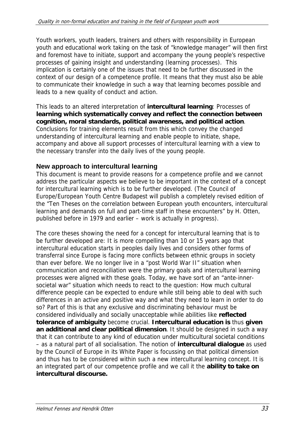Youth workers, youth leaders, trainers and others with responsibility in European youth and educational work taking on the task of "knowledge manager" will then first and foremost have to initiate, support and accompany the young people's respective processes of gaining insight and understanding (learning processes). This implication is certainly one of the issues that need to be further discussed in the context of our design of a competence profile. It means that they must also be able to communicate their knowledge in such a way that learning becomes possible and leads to a new quality of conduct and action.

This leads to an altered interpretation of **intercultural learning**: Processes of **learning which systematically convey and reflect the connection between cognition, moral standards, political awareness, and political action**. Conclusions for training elements result from this which convey the changed understanding of intercultural learning and enable people to initiate, shape, accompany and above all support processes of intercultural learning with a view to the necessary transfer into the daily lives of the young people.

## **New approach to intercultural learning**

This document is meant to provide reasons for a competence profile and we cannot address the particular aspects we believe to be important in the context of a concept for intercultural learning which is to be further developed. (The Council of Europe/European Youth Centre Budapest will publish a completely revised edition of the "Ten Theses on the correlation between European youth encounters, intercultural learning and demands on full and part-time staff in these encounters" by H. Otten, published before in 1979 and earlier – work is actually in progress).

The core theses showing the need for a concept for intercultural learning that is to be further developed are: It is more compelling than 10 or 15 years ago that intercultural education starts in peoples daily lives and considers other forms of transferral since Europe is facing more conflicts between ethnic groups in society than ever before. We no longer live in a "post World War II" situation when communication and reconciliation were the primary goals and intercultural learning processes were aligned with these goals. Today, we have sort of an "ante-innersocietal war" situation which needs to react to the question: How much cultural difference people can be expected to endure while still being able to deal with such differences in an active and positive way and what they need to learn in order to do so? Part of this is that any exclusive and discriminating behaviour must be considered individually and socially unacceptable while abilities like **reflected tolerance of ambiguity** become crucial. **Intercultural education is** thus **given an additional and clear political dimension**. It should be designed in such a way that it can contribute to any kind of education under multicultural societal conditions – as a natural part of all socialisation. The notion of **intercultural dialogue** as used by the Council of Europe in its White Paper is focussing on that political dimension and thus has to be considered within such a new intercultural learning concept. It is an integrated part of our competence profile and we call it the **ability to take on intercultural discourse.**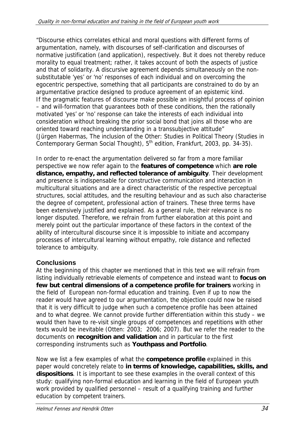"Discourse ethics correlates ethical and moral questions with different forms of argumentation, namely, with discourses of self-clarification and discourses of normative justification (and application), respectively. But it does not thereby reduce morality to equal treatment; rather, it takes account of both the aspects of justice and that of solidarity. A discursive agreement depends simultaneously on the nonsubstitutable 'yes' or 'no' responses of each individual and on overcoming the egocentric perspective, something that all participants are constrained to do by an argumentative practice designed to produce agreement of an epistemic kind. If the pragmatic features of discourse make possible an insightful process of opinion – and will-formation that guarantees both of these conditions, then the rationally motivated 'yes' or 'no' response can take the interests of each individual into consideration without breaking the prior social bond that joins all those who are oriented toward reaching understanding in a transsubjective attitude" (Jürgen Habermas, The inclusion of the Other: Studies in Political Theory (Studies in Contemporary German Social Thought),  $5<sup>th</sup>$  edition, Frankfurt, 2003, pp. 34-35).

In order to re-enact the argumentation delivered so far from a more familiar perspective we now refer again to the **features of competence** which **are role distance, empathy, and reflected tolerance of ambiguity**. Their development and presence is indispensable for constructive communication and interaction in multicultural situations and are a direct characteristic of the respective perceptual structures, social attitudes, and the resulting behaviour and as such also characterise the degree of competent, professional action of trainers. These three terms have been extensively justified and explained. As a general rule, their relevance is no longer disputed. Therefore, we refrain from further elaboration at this point and merely point out the particular importance of these factors in the context of the ability of intercultural discourse since it is impossible to initiate and accompany processes of intercultural learning without empathy, role distance and reflected tolerance to ambiguity.

## **Conclusions**

At the beginning of this chapter we mentioned that in this text we will refrain from listing individually retrievable elements of competence and instead want to **focus on few but central dimensions of a competence profile for trainers** working in the field of European non-formal education and training. Even if up to now the reader would have agreed to our argumentation, the objection could now be raised that it is very difficult to judge when such a competence profile has been attained and to what degree. We cannot provide further differentiation within this study – we would then have to re-visit single groups of competences and repetitions with other texts would be inevitable (Otten: 2003; 2006; 2007). But we refer the reader to the documents on **recognition and validation** and in particular to the first corresponding instruments such as **Youthpass and Portfolio**.

Now we list a few examples of what the **competence profile** explained in this paper would concretely relate to **in terms of knowledge, capabilities, skills, and dispositions**. It is important to see these examples in the overall context of this study: qualifying non-formal education and learning in the field of European youth work provided by qualified personnel – result of a qualifying training and further education by competent trainers.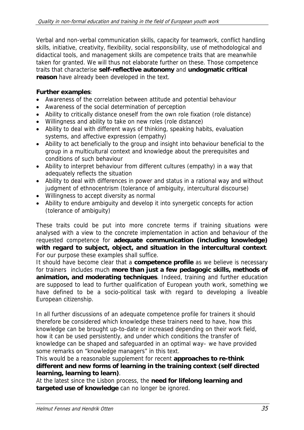Verbal and non-verbal communication skills, capacity for teamwork, conflict handling skills, initiative, creativity, flexibility, social responsibility, use of methodological and didactical tools, and management skills are competence traits that are meanwhile taken for granted. We will thus not elaborate further on these. Those competence traits that characterise **self-reflective autonomy** and **undogmatic critical reason** have already been developed in the text.

#### **Further examples**:

- Awareness of the correlation between attitude and potential behaviour
- Awareness of the social determination of perception
- Ability to critically distance oneself from the own role fixation (role distance)
- Willingness and ability to take on new roles (role distance)
- Ability to deal with different ways of thinking, speaking habits, evaluation systems, and affective expression (empathy)
- Ability to act beneficially to the group and insight into behaviour beneficial to the group in a multicultural context and knowledge about the prerequisites and conditions of such behaviour
- Ability to interpret behaviour from different cultures (empathy) in a way that adequately reflects the situation
- Ability to deal with differences in power and status in a rational way and without judgment of ethnocentrism (tolerance of ambiguity, intercultural discourse)
- Willingness to accept diversity as normal
- Ability to endure ambiguity and develop it into synergetic concepts for action (tolerance of ambiguity)

These traits could be put into more concrete terms if training situations were analysed with a view to the concrete implementation in action and behaviour of the requested competence for **adequate communication (including knowledge) with regard to subject, object, and situation in the intercultural context**. For our purpose these examples shall suffice.

It should have become clear that a **competence profile** as we believe is necessary for trainers includes much **more than just a few pedagogic skills, methods of animation, and moderating techniques**. Indeed, training and further education are supposed to lead to further qualification of European youth work, something we have defined to be a socio-political task with regard to developing a liveable European citizenship.

In all further discussions of an adequate competence profile for trainers it should therefore be considered which knowledge these trainers need to have, how this knowledge can be brought up-to-date or increased depending on their work field, how it can be used persistently, and under which conditions the transfer of knowledge can be shaped and safeguarded in an optimal way– we have provided some remarks on "knowledge managers" in this text.

#### This would be a reasonable supplement for recent **approaches to re-think different and new forms of learning in the training context (self directed learning, learning to learn)**.

At the latest since the Lisbon process, the **need for lifelong learning and targeted use of knowledge** can no longer be ignored.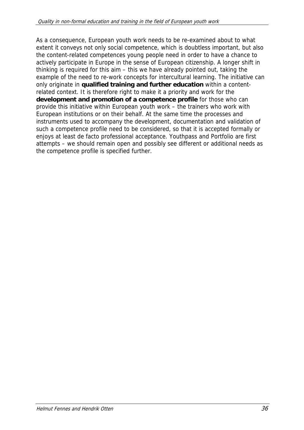As a consequence, European youth work needs to be re-examined about to what extent it conveys not only social competence, which is doubtless important, but also the content-related competences young people need in order to have a chance to actively participate in Europe in the sense of European citizenship. A longer shift in thinking is required for this aim – this we have already pointed out, taking the example of the need to re-work concepts for intercultural learning. The initiative can only originate in **qualified training and further education** within a contentrelated context. It is therefore right to make it a priority and work for the **development and promotion of a competence profile** for those who can provide this initiative within European youth work – the trainers who work with European institutions or on their behalf. At the same time the processes and instruments used to accompany the development, documentation and validation of such a competence profile need to be considered, so that it is accepted formally or enjoys at least de facto professional acceptance. Youthpass and Portfolio are first attempts – we should remain open and possibly see different or additional needs as the competence profile is specified further.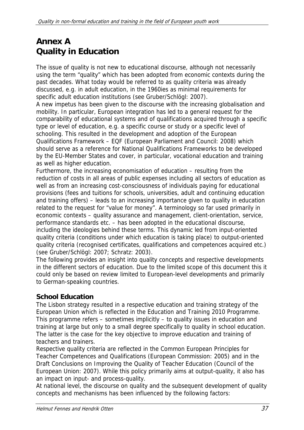# **Annex A Quality in Education**

The issue of quality is not new to educational discourse, although not necessarily using the term "quality" which has been adopted from economic contexts during the past decades. What today would be referred to as quality criteria was already discussed, e.g. in adult education, in the 1960ies as minimal requirements for specific adult education institutions (see Gruber/Schlögl: 2007). A new impetus has been given to the discourse with the increasing globalisation and mobility. In particular, European integration has led to a general request for the comparability of educational systems and of qualifications acquired through a specific

type or level of education, e.g. a specific course or study or a specific level of schooling. This resulted in the development and adoption of the European Qualifications Framework – EQF (European Parliament and Council: 2008) which should serve as a reference for National Qualifications Frameworks to be developed by the EU-Member States and cover, in particular, vocational education and training as well as higher education.

Furthermore, the increasing economisation of education – resulting from the reduction of costs in all areas of public expenses including all sectors of education as well as from an increasing cost-consciousness of individuals paying for educational provisions (fees and tuitions for schools, universities, adult and continuing education and training offers) – leads to an increasing importance given to quality in education related to the request for "value for money". A terminology so far used primarily in economic contexts – quality assurance and management, client-orientation, service, performance standards etc. – has been adopted in the educational discourse, including the ideologies behind these terms. This dynamic led from input-oriented quality criteria (conditions under which education is taking place) to output-oriented quality criteria (recognised certificates, qualifications and competences acquired etc.) (see Gruber/Schlögl: 2007; Schratz: 2003).

The following provides an insight into quality concepts and respective developments in the different sectors of education. Due to the limited scope of this document this it could only be based on review limited to European-level developments and primarily to German-speaking countries.

## **School Education**

The Lisbon strategy resulted in a respective education and training strategy of the European Union which is reflected in the Education and Training 2010 Programme. This programme refers – sometimes implicitly – to quality issues in education and training at large but only to a small degree specifically to quality in school education. The latter is the case for the key objective to improve education and training of teachers and trainers.

Respective quality criteria are reflected in the Common European Principles for Teacher Competences and Qualifications (European Commission: 2005) and in the Draft Conclusions on Improving the Quality of Teacher Education (Council of the European Union: 2007). While this policy primarily aims at output-quality, it also has an impact on input- and process-quality.

At national level, the discourse on quality and the subsequent development of quality concepts and mechanisms has been influenced by the following factors: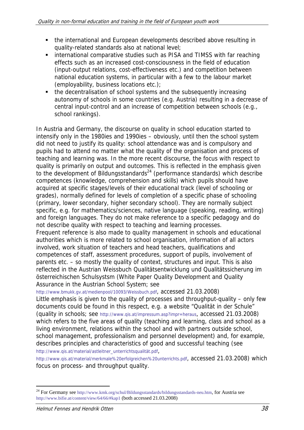- the international and European developments described above resulting in quality-related standards also at national level;
- **EXTERNATION** international comparative studies such as PISA and TIMSS with far reaching effects such as an increased cost-consciousness in the field of education (input-output relations, cost-effectiveness etc.) and competition between national education systems, in particular with a few to the labour market (employability, business locations etc.);
- the decentralisation of school systems and the subsequently increasing autonomy of schools in some countries (e.g. Austria) resulting in a decrease of central input-control and an increase of competition between schools (e.g., school rankings).

In Austria and Germany, the discourse on quality in school education started to intensify only in the 1980ies and 1990ies – obviously, until then the school system did not need to justify its quality: school attendance was and is compulsory and pupils had to attend no matter what the quality of the organisation and process of teaching and learning was. In the more recent discourse, the focus with respect to quality is primarily on output and outcomes. This is reflected in the emphasis given to the development of Bildungsstandards $^{24}$  (performance standards) which describe competences (knowledge, comprehension and skills) which pupils should have acquired at specific stages/levels of their educational track (level of schooling or grades), normally defined for levels of completion of a specific phase of schooling (primary, lower secondary, higher secondary school). They are normally subject specific, e.g. for mathematics/sciences, native language (speaking, reading, writing) and foreign languages. They do not make reference to a specific pedagogy and do not describe quality with respect to teaching and learning processes. Frequent reference is also made to quality management in schools and educational

authorities which is more related to school organisation, information of all actors involved, work situation of teachers and head teachers, qualifications and competences of staff, assessment procedures, support of pupils, involvement of parents etc. – so mostly the quality of context, structures and input. This is also reflected in the Austrian Weissbuch Qualitätsentwicklung und Qualitätssicherung im österreichischen Schulsystsm (White Paper Quality Development and Quality Assurance in the Austrian School System; see

http://www.bmukk.gv.at/medienpool/10093/Weissbuch.pdf, accessed 21.03.2008)

Little emphasis is given to the quality of processes and throughput-quality – only few documents could be found in this respect, e.g. a website "Qualität in der Schule" (quality in schools; see http://www.qis.at/impressum.asp?impr=heraus, accessed 21.03.2008) which refers to the five areas of quality (teaching and learning, class and school as a living environment, relations within the school and with partners outside school, school management, professionalism and personnel development) and, for example, describes principles and characteristics of good and successful teaching (see http://www.qis.at/material/astleitner\_unterrichtsqualität.pdf,

http://www.qis.at/material/merkmale%20erfolgreichen%20unterrichts.pdf, accessed 21.03.2008) which focus on process- and throughput quality.

-

<sup>&</sup>lt;sup>24</sup> For Germany see http://www.kmk.org/schul/Bildungsstandards/bildungsstandards-neu.htm, for Austria see http://www.bifie.at/content/view/64/66/#kap1 (both accessed 21.03.2008)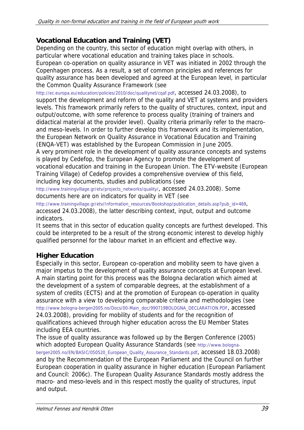## **Vocational Education and Training (VET)**

Depending on the country, this sector of education might overlap with others, in particular where vocational education and training takes place in schools. European co-operation on quality assurance in VET was initiated in 2002 through the Copenhagen process. As a result, a set of common principles and references for quality assurance has been developed and agreed at the European level, in particular the Common Quality Assurance Framework (see

http://ec.europa.eu/education/policies/2010/doc/qualitynet/cqaf.pdf, accessed 24.03.2008), to support the development and reform of the quality and VET at systems and providers levels. This framework primarily refers to the quality of structures, context, input and output/outcome, with some reference to process quality (training of trainers and didactical material at the provider level). Quality criteria primarily refer to the macroand meso-levels. In order to further develop this framework and its implementation, the European Network on Quality Assurance in Vocational Education and Training (ENQA-VET) was established by the European Commission in June 2005.

A very prominent role in the development of quality assurance concepts and systems is played by Cedefop, the European Agency to promote the development of vocational education and training in the European Union. The ETV-website (European Training Village) of Cedefop provides a comprehensive overview of this field, including key documents, studies and publications (see

http://www.trainingvillage.gr/etv/projects\_networks/quality/, accessed 24.03.2008). Some documents here are on indicators for quality in VET (see

http://www.trainingvillage.gr/etv/Information\_resources/Bookshop/publication\_details.asp?pub\_id=469, accessed 24.03.2008), the latter describing context, input, output and outcome indicators.

It seems that in this sector of education quality concepts are furthest developed. This could be interpreted to be a result of the strong economic interest to develop highly qualified personnel for the labour market in an efficient and effective way.

## **Higher Education**

Especially in this sector, European co-operation and mobility seem to have given a major impetus to the development of quality assurance concepts at European level. A main starting point for this process was the Bologna declaration which aimed at the development of a system of comparable degrees, at the establishment of a system of credits (ECTS) and at the promotion of European co-operation in quality assurance with a view to developing comparable criteria and methodologies (see http://www.bologna-bergen2005.no/Docs/00-Main\_doc/990719BOLOGNA\_DECLARATION.PDF, accessed 24.03.2008), providing for mobility of students and for the recognition of qualifications achieved through higher education across the EU Member States including EEA countries.

The issue of quality assurance was followed up by the Bergen Conference (2005) which adopted European Quality Assurance Standards (see http://www.bolognabergen2005.no/EN/BASIC/050520\_European\_Quality\_Assurance\_Standards.pdf, accessed 18.03.2008) and by the Recommendation of the European Parliament and the Council on further European cooperation in quality assurance in higher education (European Parliament and Council: 2006c). The European Quality Assurance Standards mostly address the macro- and meso-levels and in this respect mostly the quality of structures, input and output.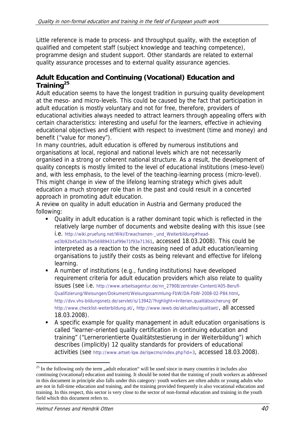Little reference is made to process- and throughput quality, with the exception of qualified and competent staff (subject knowledge and teaching competence), programme design and student support. Other standards are related to external quality assurance processes and to external quality assurance agencies.

### **Adult Education and Continuing (Vocational) Education and Training25**

Adult education seems to have the longest tradition in pursuing quality development at the meso- and micro-levels. This could be caused by the fact that participation in adult education is mostly voluntary and not for free, therefore, providers of educational activities always needed to attract learners through appealing offers with certain characteristics: interesting and useful for the learners, effective in achieving educational objectives and efficient with respect to investment (time and money) and benefit ("value for money").

In many countries, adult education is offered by numerous institutions and organisations at local, regional and national levels which are not necessarily organised in a strong or coherent national structure. As a result, the development of quality concepts is mostly limited to the level of educational institutions (meso-level) and, with less emphasis, to the level of the teaching-learning process (micro-level). This might change in view of the lifelong learning strategy which gives adult education a much stronger role than in the past and could result in a concerted approach in promoting adult education.

A review on quality in adult education in Austria and Germany produced the following:

- Quality in adult education is a rather dominant topic which is reflected in the relatively large number of documents and website dealing with this issue (see i.e. http://wiki.pruefung.net/Wiki/Erwachsenen-\_und\_Weiterbildung#headed3b92b45a03b7be56989431af99e71f93a71361, accessed 18.03.2008). This could be interpreted as a reaction to the increasing need of adult education/learning organisations to justify their costs as being relevant and effective for lifelong learning.
- A number of institutions (e.g., funding institutions) have developed requirement criteria for adult education providers which also relate to quality issues (see i.e. http://www.arbeitsagentur.de/nn\_27908/zentraler-Content/A05-Berufl-Qualifizierung/Weisungen/Dokument/Weisungssammlung-FbW/DA-FbW-2008-02-P84.html, http://dvv.vhs-bildungsnetz.de/servlet/is/13942/?highlight=kriterien,qualitätssicherung Or http://www.checklist-weiterbildung.at/, http://www.iwwb.de/aktuelles/qualitaet/, all accessed 18.03.2008).
- A specific example for quality management in adult education organisations is called "learner-oriented quality certification in continuing education and training" ("Lernerorientierte Qualitätstestierung in der Weiterbildung") which describes (implicitly) 12 quality standards for providers of educational activities (see http://www.artset-lqw.de/lqwcms/index.php?id=3, accessed 18.03.2008).

<sup>-</sup><sup>25</sup> In the following only the term  $\alpha$  adult education" will be used since in many countries it includes also continuing (vocational) education and training. It should be noted that the training of youth workers as addressed in this document in principle also falls under this category: youth workers are often adults or young adults who are not in full-time education and training, and the training provided frequently is also vocational education and training. In this respect, this sector is very close to the sector of non-formal education and training in the youth field which this document refers to.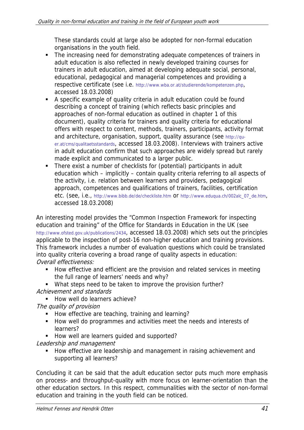These standards could at large also be adopted for non-formal education organisations in the youth field.

- The increasing need for demonstrating adequate competences of trainers in adult education is also reflected in newly developed training courses for trainers in adult education, aimed at developing adequate social, personal, educational, pedagogical and managerial competences and providing a respective certificate (see i.e. http://www.wba.or.at/studierende/kompetenzen.php, accessed 18.03.2008)
- A specific example of quality criteria in adult education could be found describing a concept of training (which reflects basic principles and approaches of non-formal education as outlined in chapter 1 of this document), quality criteria for trainers and quality criteria for educational offers with respect to content, methods, trainers, participants, activity format and architecture, organisation, support, quality assurance (see http://quer.at/cms/qualitaetsstandards, accessed 18.03.2008). Interviews with trainers active in adult education confirm that such approaches are widely spread but rarely made explicit and communicated to a larger public.
- There exist a number of checklists for (potential) participants in adult education which – implicitly – contain quality criteria referring to all aspects of the activity, i.e. relation between learners and providers, pedagogical approach, competences and qualifications of trainers, facilities, certification etc. (see, i.e., http://www.bibb.de/de/checkliste.htm or http://www.eduqua.ch/002alc\_07\_de.htm, accessed 18.03.2008)

An interesting model provides the "Common Inspection Framework for inspecting education and training" of the Office for Standards in Education in the UK (see http://www.ofsted.gov.uk/publications/2434, accessed 18.03.2008) which sets out the principles applicable to the inspection of post-16 non-higher education and training provisions. This framework includes a number of evaluation questions which could be translated into quality criteria covering a broad range of quality aspects in education: Overall effectiveness:

- **How effective and efficient are the provision and related services in meeting** the full range of learners' needs and why?
- What steps need to be taken to improve the provision further? Achievement and standards
	- How well do learners achieve?

The quality of provision

- How effective are teaching, training and learning?
- How well do programmes and activities meet the needs and interests of learners?
- How well are learners quided and supported?

Leadership and management

How effective are leadership and management in raising achievement and supporting all learners?

Concluding it can be said that the adult education sector puts much more emphasis on process- and throughput-quality with more focus on learner-orientation than the other education sectors. In this respect, communalities with the sector of non-formal education and training in the youth field can be noticed.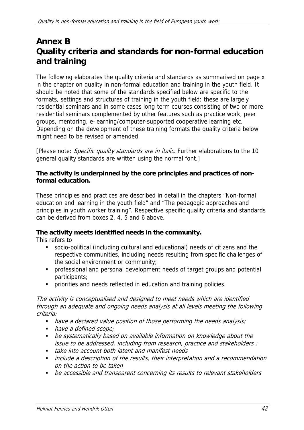## **Annex B Quality criteria and standards for non-formal education and training**

The following elaborates the quality criteria and standards as summarised on page x in the chapter on quality in non-formal education and training in the youth field. It should be noted that some of the standards specified below are specific to the formats, settings and structures of training in the youth field: these are largely residential seminars and in some cases long-term courses consisting of two or more residential seminars complemented by other features such as practice work, peer groups, mentoring, e-learning/computer-supported cooperative learning etc. Depending on the development of these training formats the quality criteria below might need to be revised or amended.

[Please note: Specific quality standards are in italic. Further elaborations to the 10 general quality standards are written using the normal font.]

#### **The activity is underpinned by the core principles and practices of nonformal education.**

These principles and practices are described in detail in the chapters "Non-formal education and learning in the youth field" and "The pedagogic approaches and principles in youth worker training". Respective specific quality criteria and standards can be derived from boxes 2, 4, 5 and 6 above.

### **The activity meets identified needs in the community.**

This refers to

- socio-political (including cultural and educational) needs of citizens and the respective communities, including needs resulting from specific challenges of the social environment or community;
- professional and personal development needs of target groups and potential participants;
- **PEDECITE:** priorities and needs reflected in education and training policies.

The activity is conceptualised and designed to meet needs which are identified through an adequate and ongoing needs analysis at all levels meeting the following criteria:

- $\blacksquare$  have a declared value position of those performing the needs analysis;
- have a defined scope;
- be systematically based on available information on knowledge about the issue to be addressed, including from research, practice and stakeholders ;
- **take into account both latent and manifest needs**
- **•** include a description of the results, their interpretation and a recommendation on the action to be taken
- **•** be accessible and transparent concerning its results to relevant stakeholders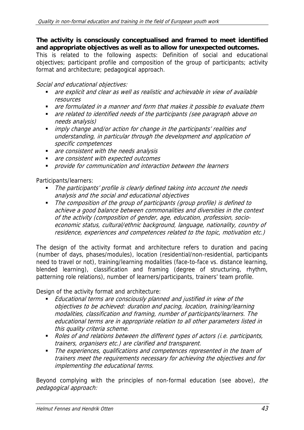**The activity is consciously conceptualised and framed to meet identified and appropriate objectives as well as to allow for unexpected outcomes.**  This is related to the following aspects: Definition of social and educational objectives; participant profile and composition of the group of participants; activity format and architecture; pedagogical approach.

Social and educational objectives:

- are explicit and clear as well as realistic and achievable in view of available resources
- **•** are formulated in a manner and form that makes it possible to evaluate them
- **•** are related to identified needs of the participants (see paragraph above on needs analysis)
- **imply change and/or action for change in the participants' realities and** understanding, in particular through the development and application of specific competences
- are consistent with the needs analysis
- are consistent with expected outcomes
- **•** provide for communication and interaction between the learners

Participants/learners:

- The participants' profile is clearly defined taking into account the needs analysis and the social and educational objectives
- The composition of the group of participants (group profile) is defined to achieve a good balance between commonalities and diversities in the context of the activity (composition of gender, age, education, profession, socioeconomic status, cultural/ethnic background, language, nationality, country of residence, experiences and competences related to the topic, motivation etc.)

The design of the activity format and architecture refers to duration and pacing (number of days, phases/modules), location (residential/non-residential, participants need to travel or not), training/learning modalities (face-to-face vs. distance learning, blended learning), classification and framing (degree of structuring, rhythm, patterning role relations), number of learners/participants, trainers' team profile.

Design of the activity format and architecture:

- Educational terms are consciously planned and justified in view of the objectives to be achieved: duration and pacing, location, training/learning modalities, classification and framing, number of participants/learners. The educational terms are in appropriate relation to all other parameters listed in this quality criteria scheme.
- Roles of and relations between the different types of actors (i.e. participants, trainers, organisers etc.) are clarified and transparent.
- The experiences, qualifications and competences represented in the team of trainers meet the requirements necessary for achieving the objectives and for implementing the educational terms.

Beyond complying with the principles of non-formal education (see above), the pedagogical approach: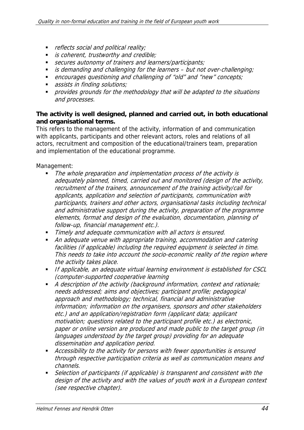- reflects social and political reality;
- **is coherent, trustworthy and credible;**
- secures autonomy of trainers and learners/participants;
- is demanding and challenging for the learners  $-$  but not over-challenging;
- encourages questioning and challenging of "old" and "new" concepts;
- assists in finding solutions;
- **•** provides grounds for the methodology that will be adapted to the situations and processes.

#### **The activity is well designed, planned and carried out, in both educational and organisational terms.**

This refers to the management of the activity, information of and communication with applicants, participants and other relevant actors, roles and relations of all actors, recruitment and composition of the educational/trainers team, preparation and implementation of the educational programme.

Management:

- The whole preparation and implementation process of the activity is adequately planned, timed, carried out and monitored (design of the activity, recruitment of the trainers, announcement of the training activity/call for applicants, application and selection of participants, communication with participants, trainers and other actors, organisational tasks including technical and administrative support during the activity, preparation of the programme elements, format and design of the evaluation, documentation, planning of follow-up, financial management etc.).
- **Timely and adequate communication with all actors is ensured.**
- An adequate venue with appropriate training, accommodation and catering facilities (if applicable) including the required equipment is selected in time. This needs to take into account the socio-economic reality of the region where the activity takes place.
- **If applicable, an adequate virtual learning environment is established for CSCL** (computer-supported cooperative learning
- A description of the activity (background information, context and rationale; needs addressed; aims and objectives; participant profile; pedagogical approach and methodology; technical, financial and administrative information; information on the organisers, sponsors and other stakeholders etc.) and an application/registration form (applicant data; applicant motivation; questions related to the participant profile etc.) as electronic, paper or online version are produced and made public to the target group (in languages understood by the target group) providing for an adequate dissemination and application period.
- Accessibility to the activity for persons with fewer opportunities is ensured through respective participation criteria as well as communication means and channels.
- Selection of participants (if applicable) is transparent and consistent with the design of the activity and with the values of youth work in a European context (see respective chapter).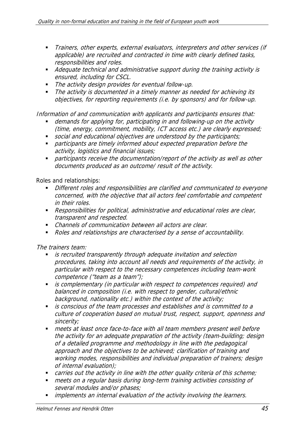- **Trainers, other experts, external evaluators, interpreters and other services (if** applicable) are recruited and contracted in time with clearly defined tasks, responsibilities and roles.
- Adequate technical and administrative support during the training activity is ensured, including for CSCL.
- The activity design provides for eventual follow-up.
- The activity is documented in a timely manner as needed for achieving its objectives, for reporting requirements (i.e. by sponsors) and for follow-up.

Information of and communication with applicants and participants ensures that:

- demands for applying for, participating in and following-up on the activity (time, energy, commitment, mobility, ICT access etc.) are clearly expressed;
- social and educational objectives are understood by the participants;
- **•** participants are timely informed about expected preparation before the activity, logistics and financial issues;
- participants receive the documentation/report of the activity as well as other documents produced as an outcome/ result of the activity.

Roles and relationships:

- Different roles and responsibilities are clarified and communicated to everyone concerned, with the objective that all actors feel comfortable and competent in their roles.
- Responsibilities for political, administrative and educational roles are clear, transparent and respected.
- Channels of communication between all actors are clear.
- Roles and relationships are characterised by a sense of accountability.

The trainers team:

- **is recruited transparently through adequate invitation and selection** procedures, taking into account all needs and requirements of the activity, in particular with respect to the necessary competences including team-work competence ("team as a team");
- **is complementary (in particular with respect to competences required) and** balanced in composition (i.e. with respect to gender, cultural/ethnic background, nationality etc.) within the context of the activity;
- is conscious of the team processes and establishes and is committed to a culture of cooperation based on mutual trust, respect, support, openness and sincerity;
- meets at least once face-to-face with all team members present well before the activity for an adequate preparation of the activity (team-building; design of a detailed programme and methodology in line with the pedagogical approach and the objectives to be achieved; clarification of training and working modes, responsibilities and individual preparation of trainers; design of internal evaluation);
- carries out the activity in line with the other quality criteria of this scheme;
- meets on a regular basis during long-term training activities consisting of several modules and/or phases;
- **implements an internal evaluation of the activity involving the learners.**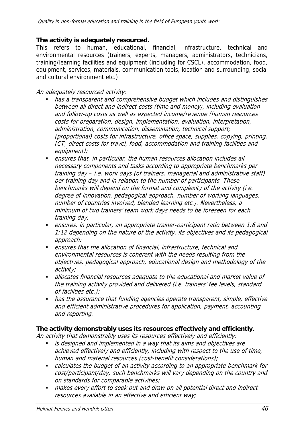#### **The activity is adequately resourced.**

This refers to human, educational, financial, infrastructure, technical and environmental resources (trainers, experts, managers, administrators, technicians, training/learning facilities and equipment (including for CSCL), accommodation, food, equipment, services, materials, communication tools, location and surrounding, social and cultural environment etc.)

#### An adequately resourced activity:

- has a transparent and comprehensive budget which includes and distinguishes between all direct and indirect costs (time and money), including evaluation and follow-up costs as well as expected income/revenue (human resources costs for preparation, design, implementation, evaluation, interpretation, administration, communication, dissemination, technical support; (proportional) costs for infrastructure, office space, supplies, copying, printing, ICT; direct costs for travel, food, accommodation and training facilities and equipment);
- ensures that, in particular, the human resources allocation includes all necessary components and tasks according to appropriate benchmarks per training day – i.e. work days (of trainers, managerial and administrative staff) per training day and in relation to the number of participants. These benchmarks will depend on the format and complexity of the activity (i.e. degree of innovation, pedagogical approach, number of working languages, number of countries involved, blended learning etc.). Nevertheless, a minimum of two trainers' team work days needs to be foreseen for each training day.
- ensures, in particular, an appropriate trainer-participant ratio between 1:6 and 1:12 depending on the nature of the activity, its objectives and its pedagogical approach;
- ensures that the allocation of financial, infrastructure, technical and environmental resources is coherent with the needs resulting from the objectives, pedagogical approach, educational design and methodology of the activity;
- **allocates financial resources adequate to the educational and market value of** the training activity provided and delivered (i.e. trainers' fee levels, standard of facilities etc.);
- has the assurance that funding agencies operate transparent, simple, effective and efficient administrative procedures for application, payment, accounting and reporting.

### **The activity demonstrably uses its resources effectively and efficiently.**

An activity that demonstrably uses its resources effectively and efficiently:

- **is designed and implemented in a way that its aims and objectives are** achieved effectively and efficiently, including with respect to the use of time, human and material resources (cost-benefit considerations);
- calculates the budget of an activity according to an appropriate benchmark for cost/participant/day; such benchmarks will vary depending on the country and on standards for comparable activities;
- **nakes every effort to seek out and draw on all potential direct and indirect** resources available in an effective and efficient way;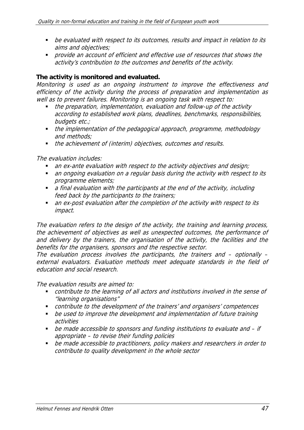- be evaluated with respect to its outcomes, results and impact in relation to its aims and objectives;
- **•** provide an account of efficient and effective use of resources that shows the activity's contribution to the outcomes and benefits of the activity.

#### **The activity is monitored and evaluated.**

Monitoring is used as an ongoing instrument to improve the effectiveness and efficiency of the activity during the process of preparation and implementation as well as to prevent failures. Monitoring is an ongoing task with respect to:

- the preparation, implementation, evaluation and follow-up of the activity according to established work plans, deadlines, benchmarks, responsibilities, budgets etc.;
- the implementation of the pedagogical approach, programme, methodology and methods;
- the achievement of (interim) objectives, outcomes and results.

The evaluation includes:

- an ex-ante evaluation with respect to the activity objectives and design;
- an ongoing evaluation on a regular basis during the activity with respect to its programme elements;
- a final evaluation with the participants at the end of the activity, including feed back by the participants to the trainers;
- an ex-post evaluation after the completion of the activity with respect to its impact.

The evaluation refers to the design of the activity, the training and learning process, the achievement of objectives as well as unexpected outcomes, the performance of and delivery by the trainers, the organisation of the activity, the facilities and the benefits for the organisers, sponsors and the respective sector.

The evaluation process involves the participants, the trainers and – optionally – external evaluators. Evaluation methods meet adequate standards in the field of education and social research.

The evaluation results are aimed to:

- contribute to the learning of all actors and institutions involved in the sense of "learning organisations"
- contribute to the development of the trainers' and organisers' competences
- be used to improve the development and implementation of future training activities
- be made accessible to sponsors and funding institutions to evaluate and if appropriate – to revise their funding policies
- be made accessible to practitioners, policy makers and researchers in order to contribute to quality development in the whole sector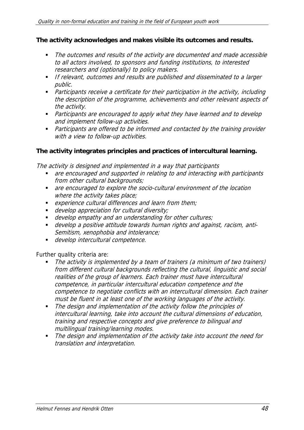#### **The activity acknowledges and makes visible its outcomes and results.**

- The outcomes and results of the activity are documented and made accessible to all actors involved, to sponsors and funding institutions, to interested researchers and (optionally) to policy makers.
- If relevant, outcomes and results are published and disseminated to a larger public.
- **•** Participants receive a certificate for their participation in the activity, including the description of the programme, achievements and other relevant aspects of the activity.
- **•** Participants are encouraged to apply what they have learned and to develop and implement follow-up activities.
- Participants are offered to be informed and contacted by the training provider with a view to follow-up activities.

#### **The activity integrates principles and practices of intercultural learning.**

The activity is designed and implemented in a way that participants

- are encouraged and supported in relating to and interacting with participants from other cultural backgrounds;
- are encouraged to explore the socio-cultural environment of the location where the activity takes place;
- **EXPERIENCE CULTAL STATE CONSTRANGE IN A LEART FROM THEM**  $\mathcal{E}$
- **develop appreciation for cultural diversity;**
- develop empathy and an understanding for other cultures;
- develop a positive attitude towards human rights and against, racism, anti-Semitism, xenophobia and intolerance;
- **develop intercultural competence.**

Further quality criteria are:

- The activity is implemented by a team of trainers (a minimum of two trainers) from different cultural backgrounds reflecting the cultural, linguistic and social realities of the group of learners. Each trainer must have intercultural competence, in particular intercultural education competence and the competence to negotiate conflicts with an intercultural dimension. Each trainer must be fluent in at least one of the working languages of the activity.
- The design and implementation of the activity follow the principles of intercultural learning, take into account the cultural dimensions of education, training and respective concepts and give preference to bilingual and multilingual training/learning modes.
- The design and implementation of the activity take into account the need for translation and interpretation.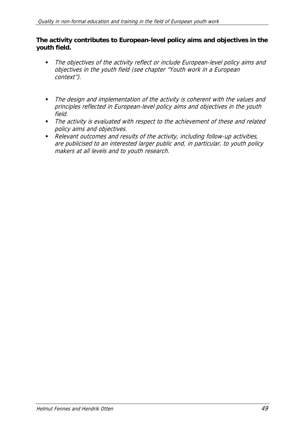#### **The activity contributes to European-level policy aims and objectives in the youth field.**

- The objectives of the activity reflect or include European-level policy aims and objectives in the youth field (see chapter "Youth work in a European context").
- The design and implementation of the activity is coherent with the values and principles reflected in European-level policy aims and objectives in the youth field.
- The activity is evaluated with respect to the achievement of these and related policy aims and objectives.
- Relevant outcomes and results of the activity, including follow-up activities, are publicised to an interested larger public and, in particular, to youth policy makers at all levels and to youth research.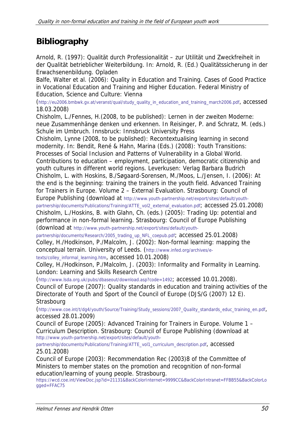# **Bibliography**

Arnold, R. (1997): Qualität durch Professionalität – zur Utilität und Zweckfreiheit in der Qualität betrieblicher Weiterbildung. In: Arnold, R. (Ed.) Qualitätssicherung in der Erwachsenenbildung. Opladen

Balfe, Walter et al. (2006): Quality in Education and Training. Cases of Good Practice in Vocational Education and Training and Higher Education. Federal Ministry of Education, Science and Culture: Vienna

(http://eu2006.bmbwk.gv.at/veranst/qual/study\_quality\_in\_education\_and\_training\_march2006.pdf, accessed 18.03.2008)

Chisholm, L./Fennes, H.(2008, to be published): Lernen in der zweiten Moderne: neue Zusammenhänge denken und erkennen. In Reisinger, P. and Schratz, M. (eds.) Schule im Umbruch. Innsbruck: Innsbruck University Press

Chisholm, Lynne (2008, to be published): Recontextualising learning in second modernity. In: Bendit, René & Hahn, Marina (Eds.) (2008): Youth Transitions: Processes of Social Inclusion and Patterns of Vulnerability in a Global World. Contributions to education – employment, participation, democratic citizenship and youth cultures in different world regions. Leverkusen: Verlag Barbara Budrich Chisholm, L. with Hoskins, B./Søgaard-Sorensen, M./Moos, L./Jensen, I. (2006): At the end is the beginning: training the trainers in the youth field. Advanced Training

for Trainers in Europe. Volume 2 – External Evaluation. Strasbourg: Council of Europe Publishing (download at http://www.youth-partnership.net/export/sites/default/youthpartnership/documents/Publications/Training/ATTE\_vol2\_external\_evaluation.pdf; accessed 25.01.2008) Chisholm, L./Hoskins, B. with Glahn, Ch. (eds.) (2005): Trading Up: potential and performance in non-formal learning. Strasbourg: Council of Europe Publishing (download at http://www.youth-partnership.net/export/sites/default/youth-

partnership/documents/Research/2005\_trading\_up\_NFL\_coepub.pdf; accessed 25.01.2008) Colley, H./Hodkinson, P./Malcolm, J. (2002): Non-formal learning: mapping the conceptual terrain. University of Leeds. (http://www.infed.org/archives/etexts/colley\_informal\_learning.htm, accessed 10.01.2008)

Colley, H./Hodkinson, P./Malcolm, J. (2003): Informality and Formality in Learning. London: Learning and Skills Research Centre

(http://www.lsda.org.uk/pubs/dbaseout/download.asp?code=1492; accessed 10.01.2008).

Council of Europe (2007): Quality standards in education and training activities of the Directorate of Youth and Sport of the Council of Europe (DJS/G (2007) 12 E). **Strasbourg** 

(http://www.coe.int/t/dg4/youth/Source/Training/Study\_sessions/2007\_Quality\_standards\_educ\_training\_en.pdf, accessed 28.01.2009)

Council of Europe (2005): Advanced Training for Trainers in Europe. Volume 1 – Curriculum Description. Strasbourg: Council of Europe Publishing (download at http://www.youth-partnership.net/export/sites/default/youth-

partnership/documents/Publications/Training/ATTE\_vol1\_curriculum\_description.pdf, accessed 25.01.2008)

Council of Europe (2003): Recommendation Rec (2003)8 of the Committee of Ministers to member states on the promotion and recognition of non-formal education/learning of young people. Strasbourg.

https://wcd.coe.int/ViewDoc.jsp?id=21131&BackColorInternet=9999CC&BackColorIntranet=FFBB55&BackColorLo gged=FFAC75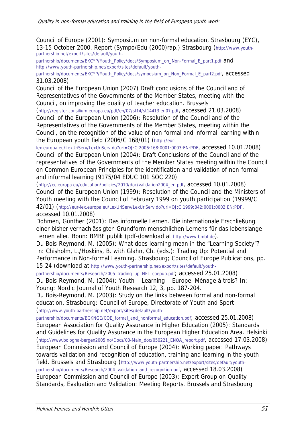Council of Europe (2001): Symposium on non-formal education, Strasbourg (EYC), 13-15 October 2000. Report (Sympo/Edu (2000)rap.) Strasbourg (http://www.youthpartnership.net/export/sites/default/youth-

partnership/documents/EKCYP/Youth\_Policy/docs/Symposium\_on\_Non-Formal\_E\_part1.pdf and http://www.youth-partnership.net/export/sites/default/youth-

partnership/documents/EKCYP/Youth\_Policy/docs/symposium\_on\_Non\_Formal\_E\_part2.pdf, accessed 31.03.2008)

Council of the European Union (2007) Draft conclusions of the Council and of Representatives of the Governments of the Member States, meeting with the Council, on improving the quality of teacher education. Brussels

(http://register.consilium.europa.eu/pdf/en/07/st14/st14413.en07.pdf, accessed 21.03.2008) Council of the European Union (2006): Resolution of the Council and of the Representatives of the Governments of the Member States, meeting within the Council, on the recognition of the value of non-formal and informal learning within the European youth field (2006/C 168/01) (http://eur-

lex.europa.eu/LexUriServ/LexUriServ.do?uri=OJ:C:2006:168:0001:0003:EN:PDF, accessed 10.01.2008) Council of the European Union (2004): Draft Conclusions of the Council and of the representatives of the Governments of the Member States meeting within the Council on Common European Principles for the identification and validation of non-formal and informal learning (9175/04 EDUC 101 SOC 220)

(http://ec.europa.eu/education/policies/2010/doc/validation2004\_en.pdf, accessed 10.01.2008) Council of the European Union (1999): Resolution of the Council and the Ministers of Youth meeting with the Council of February 1999 on youth participation (19999/C 42/01) (http://eur-lex.europa.eu/LexUriServ/LexUriServ.do?uri=OJ:C:1999:042:0001:0002:EN:PDF, accessed 10.01.2008)

Dohmen, Günther (2001): Das informelle Lernen. Die internationale Erschließung einer bisher vernachlässigten Grundform menschlichen Lernens für das lebenslange Lernen aller. Bonn: BMBF publik (pdf-download at http://www.bmbf.de).

Du Bois-Reymond, M. (2005): What does learning mean in the "Learning Society"? In: Chisholm, L./Hoskins, B. with Glahn, Ch. (eds.): Trading Up: Potential and Performance in Non-formal Learning. Strasbourg; Council of Europe Publications, pp. 15-24 (download at http://www.youth-partnership.net/export/sites/default/youth-

partnership/documents/Research/2005\_trading\_up\_NFL\_coepub.pdf; accessed 25.01.2008) Du Bois-Reymond, M. (2004): Youth – Learning – Europe. Ménage à trois? In:

Young: Nordic Journal of Youth Research 12, 3, pp. 187-204.

Du Bois-Reymond, M. (2003): Study on the links between formal and non-formal education. Strasbourg: Council of Europe, Directorate of Youth and Sport (http://www.youth-partnership.net/export/sites/default/youth-

partnership/documents/BGKNGE/COE\_formal\_and\_nonformal\_education.pdf; accessed 25.01.2008) European Association for Quality Assurance in Higher Education (2005): Standards and Guidelines for Quality Assurance in the European Higher Education Area. Helsinki (http://www.bologna-bergen2005.no/Docs/00-Main\_doc/050221\_ENQA\_report.pdf, accessed 17.03.2008) European Commission and Council of Europe (2004): Working paper: Pathways towards validation and recognition of education, training and learning in the youth field. Brussels and Strasbourg (http://www.youth-partnership.net/export/sites/default/youthpartnership/documents/Research/2004\_validation\_and\_recognition.pdf, accessed 18.03.2008) European Commission and Council of Europe (2003): Expert Group on Quality Standards, Evaluation and Validation: Meeting Reports. Brussels and Strasbourg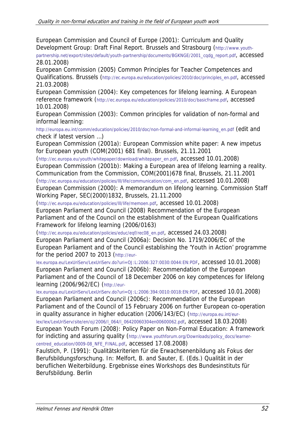European Commission and Council of Europe (2001): Curriculum and Quality Development Group: Draft Final Report. Brussels and Strasbourg (http://www.youth-

partnership.net/export/sites/default/youth-partnership/documents/BGKNGE/2001\_cqdg\_report.pdf, accessed 28.01.2008)

European Commission (2005) Common Principles for Teacher Competences and Qualifications. Brussels (http://ec.europa.eu/education/policies/2010/doc/principles\_en.pdf, accessed 21.03.2008)

European Commission (2004): Key competences for lifelong learning. A European reference framework (http://ec.europa.eu/education/policies/2010/doc/basicframe.pdf, accessed 10.01.2008)

European Commission (2003): Common principles for validation of non-formal and informal learning:

http://europa.eu.int/comm/education/policies/2010/doc/non-formal-and-informal-learning\_en.pdf (edit and check if latest version …)

European Commission (2001a): European Commission white paper: A new impetus for European youth (COM(2001) 681 final). Brussels, 21.11.2001

(http://ec.europa.eu/youth/whitepaper/download/whitepaper\_en.pdf, accessed 10.01.2008) European Commission (2001b): Making a European area of lifelong learning a reality. Communication from the Commission, COM(2001)678 final, Brussels, 21.11.2001

(http://ec.europa.eu/education/policies/lll/life/communication/com\_en.pdf, accessed 10.01.2008) European Commission (2000): A memorandum on lifelong learning. Commission Staff Working Paper, SEC(2000)1832, Brussels, 21.11.2000

(http://ec.europa.eu/education/policies/lll/life/memoen.pdf, accessed 10.01.2008)

European Parliament and Council (2008) Recommendation of the European Parliament and of the Council on the establishment of the European Qualifications Framework for lifelong learning (2006/0163)

(http://ec.europa.eu/education/policies/educ/eqf/rec08\_en.pdf, accessed 24.03.2008) European Parliament and Council (2006a): Decision No. 1719/2006/EC of the European Parliament and of the Council establishing the 'Youth in Action' programme for the period 2007 to 2013 (http://eur-

lex.europa.eu/LexUriServ/LexUriServ.do?uri=OJ:L:2006:327:0030:0044:EN:PDF, accessed 10.01.2008) European Parliament and Council (2006b): Recommendation of the European Parliament and of the Council of 18 December 2006 on key competences for lifelong learning (2006/962/EC) (http://eur-

lex.europa.eu/LexUriServ/LexUriServ.do?uri=OJ:L:2006:394:0010:0018:EN:PDF, accessed 10.01.2008) European Parliament and Council (2006c): Recommendation of the European Parliament and of the Council of 15 February 2006 on further European co-operation in quality assurance in higher education (2006/143/EC) (http://europa.eu.int/eur-

lex/lex/LexUriServ/site/en/oj/2006/l\_064/l\_06420060304en00600062.pdf, accessed 18.03.2008) European Youth Forum (2008): Policy Paper on Non-Formal Education: A framework for indicting and assuring quality (http://www.youthforum.org/Downloads/policy\_docs/learnercentred\_education/0009-08\_NFE\_FINAL.pdf, accessed 17.08.2008)

Faulstich, P. (1991): Qualitätskriterien für die Erwachsenenbildung als Fokus der Berufsbildungsforschung. In: Melfort, B. and Sauter, E. (Eds.) Qualität in der beruflichen Weiterbildung. Ergebnisse eines Workshops des Bundesinstituts für Berufsbildung. Berlin